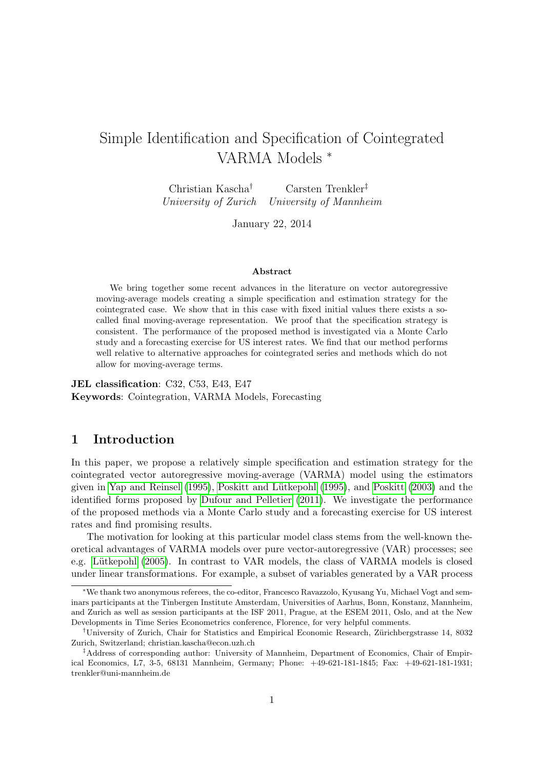# Simple Identification and Specification of Cointegrated VARMA Models <sup>∗</sup>

Christian Kascha† Carsten Trenkler‡ University of Zurich University of Mannheim

January 22, 2014

#### Abstract

We bring together some recent advances in the literature on vector autoregressive moving-average models creating a simple specification and estimation strategy for the cointegrated case. We show that in this case with fixed initial values there exists a socalled final moving-average representation. We proof that the specification strategy is consistent. The performance of the proposed method is investigated via a Monte Carlo study and a forecasting exercise for US interest rates. We find that our method performs well relative to alternative approaches for cointegrated series and methods which do not allow for moving-average terms.

JEL classification: C32, C53, E43, E47 Keywords: Cointegration, VARMA Models, Forecasting

# 1 Introduction

In this paper, we propose a relatively simple specification and estimation strategy for the cointegrated vector autoregressive moving-average (VARMA) model using the estimators given in Yap and Reinsel  $(1995)$ , Poskitt and Lütkepohl  $(1995)$ , and Poskitt  $(2003)$  and the identified forms proposed by [Dufour and Pelletier \(2011\)](#page-16-0). We investigate the performance of the proposed methods via a Monte Carlo study and a forecasting exercise for US interest rates and find promising results.

The motivation for looking at this particular model class stems from the well-known theoretical advantages of VARMA models over pure vector-autoregressive (VAR) processes; see e.g. Lütkepohl (2005). In contrast to VAR models, the class of VARMA models is closed under linear transformations. For example, a subset of variables generated by a VAR process

<sup>∗</sup>We thank two anonymous referees, the co-editor, Francesco Ravazzolo, Kyusang Yu, Michael Vogt and seminars participants at the Tinbergen Institute Amsterdam, Universities of Aarhus, Bonn, Konstanz, Mannheim, and Zurich as well as session participants at the ISF 2011, Prague, at the ESEM 2011, Oslo, and at the New Developments in Time Series Econometrics conference, Florence, for very helpful comments.

<sup>&</sup>lt;sup>†</sup>University of Zurich, Chair for Statistics and Empirical Economic Research, Zürichbergstrasse 14, 8032 Zurich, Switzerland; christian.kascha@econ.uzh.ch

<sup>‡</sup>Address of corresponding author: University of Mannheim, Department of Economics, Chair of Empirical Economics, L7, 3-5, 68131 Mannheim, Germany; Phone: +49-621-181-1845; Fax: +49-621-181-1931; trenkler@uni-mannheim.de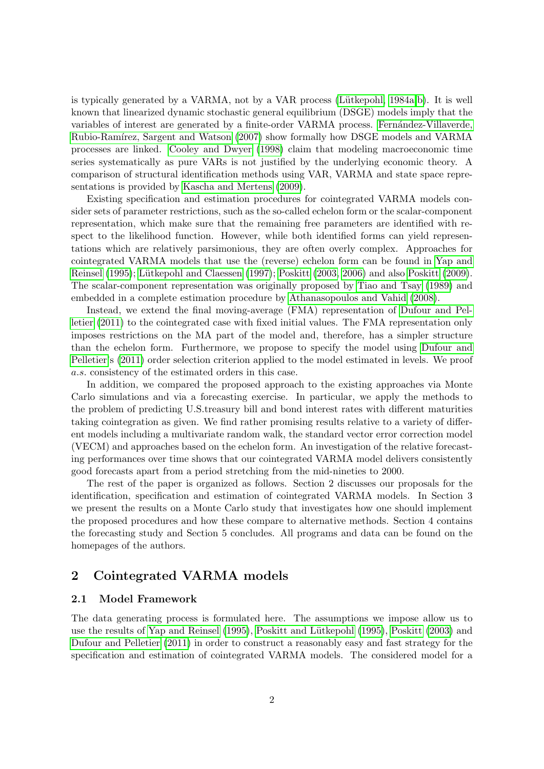is typically generated by a VARMA, not by a VAR process (Lütkepohl, 1984a,[b\)](#page-17-2). It is well known that linearized dynamic stochastic general equilibrium (DSGE) models imply that the variables of interest are generated by a finite-order VARMA process. Fernández-Villaverde, Rubio-Ramírez, Sargent and Watson (2007) show formally how DSGE models and VARMA processes are linked. [Cooley and Dwyer \(1998\)](#page-16-2) claim that modeling macroeconomic time series systematically as pure VARs is not justified by the underlying economic theory. A comparison of structural identification methods using VAR, VARMA and state space representations is provided by [Kascha and Mertens \(2009\)](#page-17-3).

Existing specification and estimation procedures for cointegrated VARMA models consider sets of parameter restrictions, such as the so-called echelon form or the scalar-component representation, which make sure that the remaining free parameters are identified with respect to the likelihood function. However, while both identified forms can yield representations which are relatively parsimonious, they are often overly complex. Approaches for cointegrated VARMA models that use the (reverse) echelon form can be found in [Yap and](#page-18-0) [Reinsel \(1995\)](#page-18-0); Lütkepohl and Claessen (1997); [Poskitt \(2003,](#page-18-2) [2006\)](#page-18-3) and also [Poskitt \(2009\)](#page-18-4). The scalar-component representation was originally proposed by [Tiao and Tsay \(1989\)](#page-18-5) and embedded in a complete estimation procedure by [Athanasopoulos and Vahid \(2008\)](#page-16-3).

Instead, we extend the final moving-average (FMA) representation of [Dufour and Pel](#page-16-0)[letier \(2011\)](#page-16-0) to the cointegrated case with fixed initial values. The FMA representation only imposes restrictions on the MA part of the model and, therefore, has a simpler structure than the echelon form. Furthermore, we propose to specify the model using [Dufour and](#page-16-0) [Pelletier'](#page-16-0)s [\(2011\)](#page-16-0) order selection criterion applied to the model estimated in levels. We proof a.s. consistency of the estimated orders in this case.

In addition, we compared the proposed approach to the existing approaches via Monte Carlo simulations and via a forecasting exercise. In particular, we apply the methods to the problem of predicting U.S.treasury bill and bond interest rates with different maturities taking cointegration as given. We find rather promising results relative to a variety of different models including a multivariate random walk, the standard vector error correction model (VECM) and approaches based on the echelon form. An investigation of the relative forecasting performances over time shows that our cointegrated VARMA model delivers consistently good forecasts apart from a period stretching from the mid-nineties to 2000.

The rest of the paper is organized as follows. Section 2 discusses our proposals for the identification, specification and estimation of cointegrated VARMA models. In Section 3 we present the results on a Monte Carlo study that investigates how one should implement the proposed procedures and how these compare to alternative methods. Section 4 contains the forecasting study and Section 5 concludes. All programs and data can be found on the homepages of the authors.

# 2 Cointegrated VARMA models

# 2.1 Model Framework

The data generating process is formulated here. The assumptions we impose allow us to use the results of [Yap and Reinsel \(1995\)](#page-18-0), Poskitt and Lütkepohl (1995), [Poskitt \(2003\)](#page-18-2) and [Dufour and Pelletier \(2011\)](#page-16-0) in order to construct a reasonably easy and fast strategy for the specification and estimation of cointegrated VARMA models. The considered model for a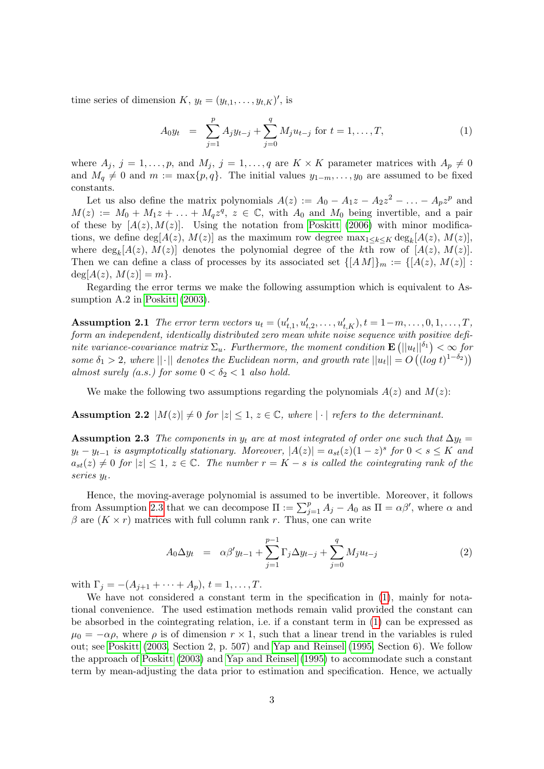time series of dimension  $K, y_t = (y_{t,1}, \ldots, y_{t,K})'$ , is

<span id="page-2-1"></span>
$$
A_0 y_t = \sum_{j=1}^p A_j y_{t-j} + \sum_{j=0}^q M_j u_{t-j} \text{ for } t = 1, ..., T,
$$
 (1)

where  $A_j$ ,  $j = 1, \ldots, p$ , and  $M_j$ ,  $j = 1, \ldots, q$  are  $K \times K$  parameter matrices with  $A_p \neq 0$ and  $M_q \neq 0$  and  $m := \max\{p, q\}$ . The initial values  $y_{1-m}, \ldots, y_0$  are assumed to be fixed constants.

Let us also define the matrix polynomials  $A(z) := A_0 - A_1 z - A_2 z^2 - \ldots - A_p z^p$  and  $M(z) := M_0 + M_1 z + \ldots + M_q z^q$ ,  $z \in \mathbb{C}$ , with  $A_0$  and  $M_0$  being invertible, and a pair of these by  $[A(z), M(z)]$ . Using the notation from [Poskitt \(2006\)](#page-18-3) with minor modifications, we define  $\deg[A(z), M(z)]$  as the maximum row degree  $\max_{1 \leq k \leq K} \deg_k[A(z), M(z)]$ , where  $deg_k[A(z), M(z)]$  denotes the polynomial degree of the kth row of  $[A(z), M(z)]$ . Then we can define a class of processes by its associated set  $\{[AM]\}_m := \{[A(z), M(z)] :$  $deg[A(z), M(z)] = m$ .

Regarding the error terms we make the following assumption which is equivalent to Assumption A.2 in [Poskitt \(2003\)](#page-18-2).

<span id="page-2-3"></span>**Assumption 2.1** The error term vectors  $u_t = (u'_{t,1}, u'_{t,2}, \ldots, u'_{t,K}), t = 1-m, \ldots, 0, 1, \ldots, T$ , form an independent, identically distributed zero mean white noise sequence with positive definite variance-covariance matrix  $\Sigma_u$ . Furthermore, the moment condition  $\mathbf{E}\left(||u_t||^{\delta_1}\right) < \infty$  for some  $\delta_1 > 2$ , where  $||\cdot||$  denotes the Euclidean norm, and growth rate  $||u_t|| = O((\log t)^{1-\delta_2}))$ almost surely (a.s.) for some  $0 < \delta_2 < 1$  also hold.

We make the following two assumptions regarding the polynomials  $A(z)$  and  $M(z)$ :

<span id="page-2-2"></span>Assumption 2.2  $|M(z)| \neq 0$  for  $|z| \leq 1$ ,  $z \in \mathbb{C}$ , where  $|\cdot|$  refers to the determinant.

<span id="page-2-0"></span>Assumption 2.3 The components in  $y_t$  are at most integrated of order one such that  $\Delta y_t =$  $y_t - y_{t-1}$  is asymptotically stationary. Moreover,  $|A(z)| = a_{st}(z)(1-z)^s$  for  $0 < s \leq K$  and  $a_{st}(z) \neq 0$  for  $|z| \leq 1$ ,  $z \in \mathbb{C}$ . The number  $r = K - s$  is called the cointegrating rank of the series  $y_t$ .

Hence, the moving-average polynomial is assumed to be invertible. Moreover, it follows from Assumption [2.3](#page-2-0) that we can decompose  $\Pi := \sum_{j=1}^p A_j - A_0$  as  $\Pi = \alpha \beta'$ , where  $\alpha$  and  $\beta$  are  $(K \times r)$  matrices with full column rank r. Thus, one can write

$$
A_0 \Delta y_t = \alpha \beta' y_{t-1} + \sum_{j=1}^{p-1} \Gamma_j \Delta y_{t-j} + \sum_{j=0}^q M_j u_{t-j}
$$
 (2)

with  $\Gamma_i = -(A_{i+1} + \cdots + A_p), t = 1, \ldots, T$ .

We have not considered a constant term in the specification in [\(1\)](#page-2-1), mainly for notational convenience. The used estimation methods remain valid provided the constant can be absorbed in the cointegrating relation, i.e. if a constant term in [\(1\)](#page-2-1) can be expressed as  $\mu_0 = -\alpha \rho$ , where  $\rho$  is of dimension  $r \times 1$ , such that a linear trend in the variables is ruled out; see [Poskitt \(2003,](#page-18-2) Section 2, p. 507) and [Yap and Reinsel \(1995,](#page-18-0) Section 6). We follow the approach of [Poskitt \(2003\)](#page-18-2) and [Yap and Reinsel \(1995\)](#page-18-0) to accommodate such a constant term by mean-adjusting the data prior to estimation and specification. Hence, we actually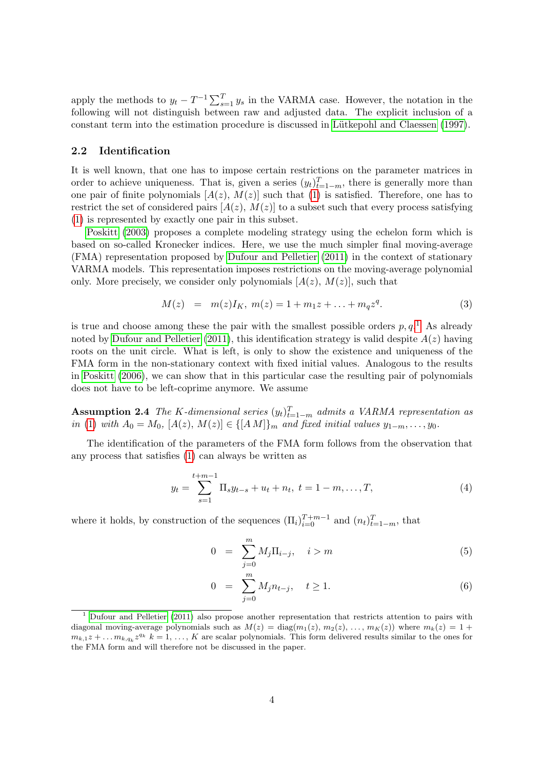apply the methods to  $y_t - T^{-1} \sum_{s=1}^T y_s$  in the VARMA case. However, the notation in the following will not distinguish between raw and adjusted data. The explicit inclusion of a constant term into the estimation procedure is discussed in Lütkepohl and Claessen (1997).

### 2.2 Identification

It is well known, that one has to impose certain restrictions on the parameter matrices in order to achieve uniqueness. That is, given a series  $(y_t)_{t=1-m}^T$ , there is generally more than one pair of finite polynomials  $[A(z), M(z)]$  such that [\(1\)](#page-2-1) is satisfied. Therefore, one has to restrict the set of considered pairs  $[A(z), M(z)]$  to a subset such that every process satisfying [\(1\)](#page-2-1) is represented by exactly one pair in this subset.

[Poskitt \(2003\)](#page-18-2) proposes a complete modeling strategy using the echelon form which is based on so-called Kronecker indices. Here, we use the much simpler final moving-average (FMA) representation proposed by [Dufour and Pelletier \(2011\)](#page-16-0) in the context of stationary VARMA models. This representation imposes restrictions on the moving-average polynomial only. More precisely, we consider only polynomials  $[A(z), M(z)]$ , such that

<span id="page-3-3"></span>
$$
M(z) = m(z)I_K, m(z) = 1 + m_1 z + \dots + m_q z^q.
$$
 (3)

is true and choose among these the pair with the smallest possible orders  $p, q$ <sup>[1](#page-3-0)</sup>. As already noted by [Dufour and Pelletier \(2011\)](#page-16-0), this identification strategy is valid despite  $A(z)$  having roots on the unit circle. What is left, is only to show the existence and uniqueness of the FMA form in the non-stationary context with fixed initial values. Analogous to the results in [Poskitt \(2006\)](#page-18-3), we can show that in this particular case the resulting pair of polynomials does not have to be left-coprime anymore. We assume

<span id="page-3-4"></span>**Assumption 2.4** The K-dimensional series  $(y_t)_{t=1-m}^T$  admits a VARMA representation as in [\(1\)](#page-2-1) with  $A_0 = M_0$ ,  $[A(z), M(z)] \in \{[AM]\}_m$  and fixed initial values  $y_{1-m}, \ldots, y_0$ .

The identification of the parameters of the FMA form follows from the observation that any process that satisfies [\(1\)](#page-2-1) can always be written as

$$
y_t = \sum_{s=1}^{t+m-1} \Pi_s y_{t-s} + u_t + n_t, \ t = 1 - m, \dots, T,
$$
 (4)

where it holds, by construction of the sequences  $(\Pi_i)_{i=0}^{T+m-1}$  and  $(n_t)_{t=1-m}^T$ , that

<span id="page-3-2"></span><span id="page-3-1"></span>
$$
0 = \sum_{j=0}^{m} M_j \Pi_{i-j}, \quad i > m \tag{5}
$$

$$
0 = \sum_{j=0}^{m} M_j n_{t-j}, \quad t \ge 1.
$$
 (6)

<span id="page-3-0"></span><sup>1</sup> [Dufour and Pelletier](#page-16-0) [\(2011\)](#page-16-0) also propose another representation that restricts attention to pairs with diagonal moving-average polynomials such as  $M(z) = \text{diag}(m_1(z), m_2(z), \dots, m_K(z))$  where  $m_k(z) = 1 +$  $m_{k,1}z + \ldots m_{k,q_k}z^{q_k}$   $k = 1, \ldots, K$  are scalar polynomials. This form delivered results similar to the ones for the FMA form and will therefore not be discussed in the paper.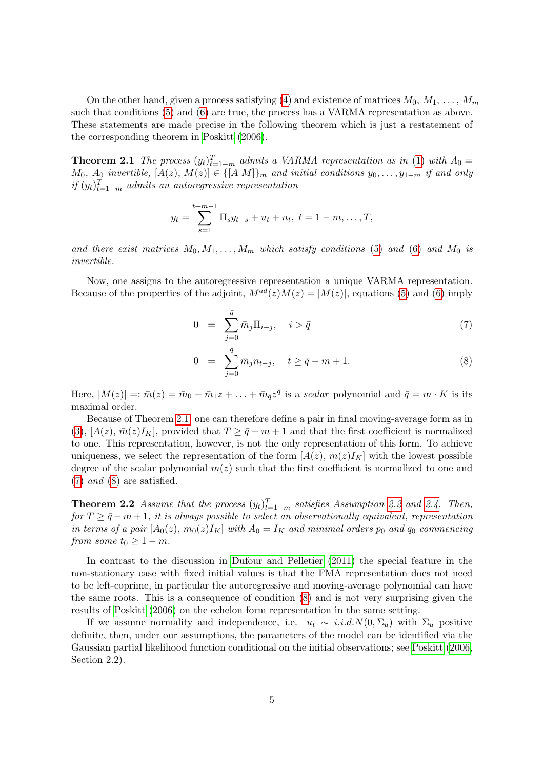On the other hand, given a process satisfying [\(4\)](#page-3-1) and existence of matrices  $M_0, M_1, \ldots, M_m$ such that conditions [\(5\)](#page-3-2) and [\(6\)](#page-3-2) are true, the process has a VARMA representation as above. These statements are made precise in the following theorem which is just a restatement of the corresponding theorem in [Poskitt \(2006\)](#page-18-3).

<span id="page-4-0"></span>**Theorem 2.1** The process  $(y_t)_{t=1-m}^T$  admits a VARMA representation as in [\(1\)](#page-2-1) with  $A_0 =$  $M_0$ ,  $A_0$  invertible,  $[A(z), M(z)] \in \{[A \ M]\}_m$  and initial conditions  $y_0, \ldots, y_{1-m}$  if and only  $if(y_t)_{t=1-m}^T$  admits an autoregressive representation

$$
y_t = \sum_{s=1}^{t+m-1} \Pi_s y_{t-s} + u_t + n_t, \ t = 1 - m, \dots, T,
$$

and there exist matrices  $M_0, M_1, \ldots, M_m$  which satisfy conditions [\(5\)](#page-3-2) and [\(6\)](#page-3-2) and  $M_0$  is invertible.

Now, one assigns to the autoregressive representation a unique VARMA representation. Because of the properties of the adjoint,  $M^{ad}(z)M(z) = |M(z)|$ , equations [\(5\)](#page-3-2) and [\(6\)](#page-3-2) imply

<span id="page-4-1"></span>
$$
0 = \sum_{j=0}^{\bar{q}} \bar{m}_j \Pi_{i-j}, \quad i > \bar{q}
$$
 (7)

$$
0 = \sum_{j=0}^{\bar{q}} \bar{m}_j n_{t-j}, \quad t \ge \bar{q} - m + 1. \tag{8}
$$

Here,  $|M(z)| =: \bar{m}(z) = \bar{m}_0 + \bar{m}_1 z + \ldots + \bar{m}_{\bar{q}} z^{\bar{q}}$  is a scalar polynomial and  $\bar{q} = m \cdot K$  is its maximal order.

Because of Theorem [2.1,](#page-4-0) one can therefore define a pair in final moving-average form as in [\(3\)](#page-3-3), [ $A(z)$ ,  $\bar{m}(z)I_K$ ], provided that  $T \ge \bar{q}-m+1$  and that the first coefficient is normalized to one. This representation, however, is not the only representation of this form. To achieve uniqueness, we select the representation of the form  $[A(z), m(z)I<sub>K</sub>]$  with the lowest possible degree of the scalar polynomial  $m(z)$  such that the first coefficient is normalized to one and  $(7)$  and  $(8)$  are satisfied.

<span id="page-4-2"></span>**Theorem [2.2](#page-2-2)** Assume that the process  $(y_t)_{t=1-m}^T$  satisfies Assumption 2.2 and [2.4.](#page-3-4) Then, for  $T \geq \bar{q}-m+1$ , it is always possible to select an observationally equivalent, representation in terms of a pair  $[A_0(z), m_0(z)I_K]$  with  $A_0 = I_K$  and minimal orders  $p_0$  and  $q_0$  commencing from some  $t_0 \geq 1 - m$ .

In contrast to the discussion in [Dufour and Pelletier \(2011\)](#page-16-0) the special feature in the non-stationary case with fixed initial values is that the FMA representation does not need to be left-coprime, in particular the autoregressive and moving-average polynomial can have the same roots. This is a consequence of condition [\(8\)](#page-4-1) and is not very surprising given the results of [Poskitt \(2006\)](#page-18-3) on the echelon form representation in the same setting.

If we assume normality and independence, i.e.  $u_t \sim i.i.d.N(0, \Sigma_u)$  with  $\Sigma_u$  positive definite, then, under our assumptions, the parameters of the model can be identified via the Gaussian partial likelihood function conditional on the initial observations; see [Poskitt \(2006,](#page-18-3) Section 2.2).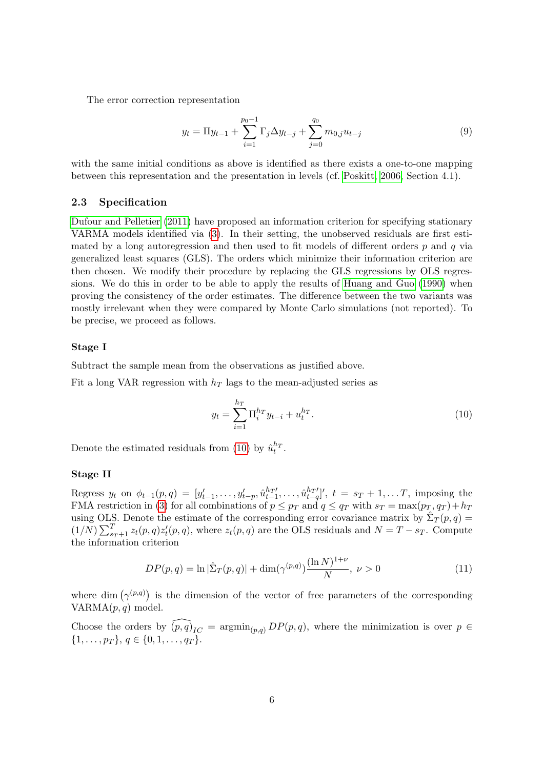The error correction representation

$$
y_t = \Pi y_{t-1} + \sum_{i=1}^{p_0 - 1} \Gamma_j \Delta y_{t-j} + \sum_{j=0}^{q_0} m_{0,j} u_{t-j}
$$
(9)

with the same initial conditions as above is identified as there exists a one-to-one mapping between this representation and the presentation in levels (cf. [Poskitt, 2006,](#page-18-3) Section 4.1).

### <span id="page-5-2"></span>2.3 Specification

[Dufour and Pelletier \(2011\)](#page-16-0) have proposed an information criterion for specifying stationary VARMA models identified via [\(3\)](#page-3-3). In their setting, the unobserved residuals are first estimated by a long autoregression and then used to fit models of different orders  $p$  and  $q$  via generalized least squares (GLS). The orders which minimize their information criterion are then chosen. We modify their procedure by replacing the GLS regressions by OLS regressions. We do this in order to be able to apply the results of [Huang and Guo \(1990\)](#page-17-5) when proving the consistency of the order estimates. The difference between the two variants was mostly irrelevant when they were compared by Monte Carlo simulations (not reported). To be precise, we proceed as follows.

# Stage I

Subtract the sample mean from the observations as justified above.

Fit a long VAR regression with  $h_T$  lags to the mean-adjusted series as

<span id="page-5-0"></span>
$$
y_t = \sum_{i=1}^{h_T} \Pi_i^{h_T} y_{t-i} + u_t^{h_T}.
$$
 (10)

Denote the estimated residuals from [\(10\)](#page-5-0) by  $\hat{u}_t^{h_T}$ .

# Stage II

Regress  $y_t$  on  $\phi_{t-1}(p,q) = [y'_{t-1}, \ldots, y'_{t-p}, \hat{u}^{h_T}_{t-1}, \ldots, \hat{u}^{h_T}_{t-q}]'$ ,  $t = s_T + 1, \ldots, T$ , imposing the FMA restriction in [\(3\)](#page-3-3) for all combinations of  $p \leq p_T$  and  $q \leq q_T$  with  $s_T = \max(p_T, q_T) + h_T$ using OLS. Denote the estimate of the corresponding error covariance matrix by  $\hat{\Sigma}_T(p,q)$  $(1/N)\sum_{s=1}^{T} z_t(p,q)z'_t(p,q)$ , where  $z_t(p,q)$  are the OLS residuals and  $N = T - s_T$ . Compute the information criterion

<span id="page-5-1"></span>
$$
DP(p,q) = \ln |\hat{\Sigma}_T(p,q)| + \dim(\gamma^{(p,q)}) \frac{(\ln N)^{1+\nu}}{N}, \ \nu > 0 \tag{11}
$$

where dim  $(\gamma^{(p,q)})$  is the dimension of the vector of free parameters of the corresponding  $VARMA(p, q) \text{ model.}$ 

Choose the orders by  $\widehat{(p,q)}_{IC} = \operatorname{argmin}_{(p,q)} DP(p,q)$ , where the minimization is over  $p \in$  $\{1,\ldots,p_T\}, q \in \{0,1,\ldots,q_T\}.$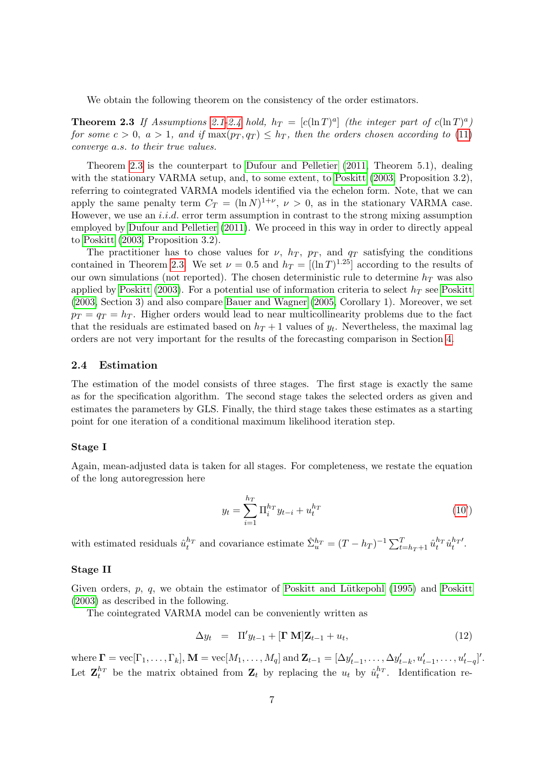<span id="page-6-0"></span>We obtain the following theorem on the consistency of the order estimators.

**Theorem 2.3** If Assumptions [2.1](#page-2-3)[-2.4](#page-3-4) hold,  $h_T = [c(\ln T)^a]$  (the integer part of  $c(\ln T)^a$ ) for some  $c > 0$ ,  $a > 1$ , and if  $\max(p_T, q_T) \leq h_T$ , then the orders chosen according to [\(11\)](#page-5-1) converge a.s. to their true values.

Theorem [2.3](#page-6-0) is the counterpart to [Dufour and Pelletier \(2011,](#page-16-0) Theorem 5.1), dealing with the stationary VARMA setup, and, to some extent, to [Poskitt \(2003,](#page-18-2) Proposition 3.2), referring to cointegrated VARMA models identified via the echelon form. Note, that we can apply the same penalty term  $C_T = (\ln N)^{1+\nu}$ ,  $\nu > 0$ , as in the stationary VARMA case. However, we use an *i.i.d.* error term assumption in contrast to the strong mixing assumption employed by [Dufour and Pelletier \(2011\)](#page-16-0). We proceed in this way in order to directly appeal to [Poskitt \(2003,](#page-18-2) Proposition 3.2).

The practitioner has to chose values for  $\nu$ ,  $h_T$ ,  $p_T$ , and  $q_T$  satisfying the conditions contained in Theorem [2.3.](#page-6-0) We set  $\nu = 0.5$  and  $h_T = [(\ln T)^{1.25}]$  according to the results of our own simulations (not reported). The chosen deterministic rule to determine  $h_T$  was also applied by [Poskitt \(2003\)](#page-18-2). For a potential use of information criteria to select  $h_T$  see [Poskitt](#page-18-2) [\(2003,](#page-18-2) Section 3) and also compare [Bauer and Wagner \(2005,](#page-16-4) Corollary 1). Moreover, we set  $p_T = q_T = h_T$ . Higher orders would lead to near multicollinearity problems due to the fact that the residuals are estimated based on  $h_T + 1$  values of  $y_t$ . Nevertheless, the maximal lag orders are not very important for the results of the forecasting comparison in Section [4.](#page-11-0)

### 2.4 Estimation

The estimation of the model consists of three stages. The first stage is exactly the same as for the specification algorithm. The second stage takes the selected orders as given and estimates the parameters by GLS. Finally, the third stage takes these estimates as a starting point for one iteration of a conditional maximum likelihood iteration step.

### Stage I

Again, mean-adjusted data is taken for all stages. For completeness, we restate the equation of the long autoregression here

$$
y_t = \sum_{i=1}^{h_T} \Pi_i^{h_T} y_{t-i} + u_t^{h_T}
$$
 (10')

with estimated residuals  $\hat{u}_t^{h_T}$  and covariance estimate  $\hat{\Sigma}_u^{h_T} = (T - h_T)^{-1} \sum_{t=h_T+1}^T \hat{u}_t^{h_T} \hat{u}_t^{h_T}$ .

### Stage II

Given orders,  $p$ ,  $q$ , we obtain the estimator of [Poskitt](#page-18-2) and Lütkepohl (1995) and Poskitt [\(2003\)](#page-18-2) as described in the following.

The cointegrated VARMA model can be conveniently written as

$$
\Delta y_t = \Pi' y_{t-1} + [\mathbf{\Gamma} \mathbf{M}] \mathbf{Z}_{t-1} + u_t, \tag{12}
$$

where  $\mathbf{\Gamma} = \text{vec}[\Gamma_1, \dots, \Gamma_k], \mathbf{M} = \text{vec}[M_1, \dots, M_q]$  and  $\mathbf{Z}_{t-1} = [\Delta y'_{t-1}, \dots, \Delta y'_{t-k}, u'_{t-1}, \dots, u'_{t-q}]'.$ Let  $\mathbf{Z}_t^{h_T}$  be the matrix obtained from  $\mathbf{Z}_t$  by replacing the  $u_t$  by  $\hat{u}_t^{h_T}$ . Identification re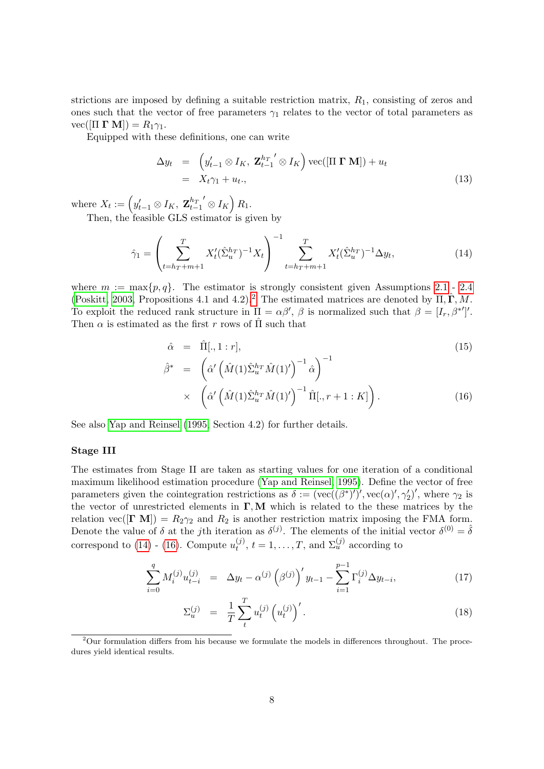strictions are imposed by defining a suitable restriction matrix,  $R_1$ , consisting of zeros and ones such that the vector of free parameters  $\gamma_1$  relates to the vector of total parameters as  $vec([ \Pi \Gamma \mathbf{M}]) = R_1 \gamma_1.$ 

Equipped with these definitions, one can write

$$
\Delta y_t = \left( y'_{t-1} \otimes I_K, \ \mathbf{Z}_{t-1}^{h_T}{}' \otimes I_K \right) \text{vec}([\Pi \ \mathbf{\Gamma} \ \mathbf{M}]) + u_t
$$
  
=  $X_t \gamma_1 + u_t,$  (13)

where  $X_t := \left(y'_{t-1} \otimes I_K, \mathbf{Z}_{t-1}^{h_T}\right)$  $\left( \otimes I_K \right) R_1.$ 

Then, the feasible GLS estimator is given by

<span id="page-7-1"></span>
$$
\hat{\gamma}_1 = \left(\sum_{t=h_T+m+1}^T X_t' (\hat{\Sigma}_u^{h_T})^{-1} X_t\right)^{-1} \sum_{t=h_T+m+1}^T X_t' (\hat{\Sigma}_u^{h_T})^{-1} \Delta y_t,\tag{14}
$$

where  $m := \max\{p, q\}$ . The estimator is strongly consistent given Assumptions [2.1](#page-2-3) - [2.4](#page-3-4) [\(Poskitt, 2003,](#page-18-2) Propositions 4.1 and 4.[2](#page-7-0)).<sup>2</sup> The estimated matrices are denoted by  $\hat{\Pi}, \hat{\Gamma}, \hat{M}$ . To exploit the reduced rank structure in  $\Pi = \alpha \beta'$ ,  $\beta$  is normalized such that  $\beta = [I_r, \beta^{*'}]'.$ Then  $\alpha$  is estimated as the first r rows of  $\hat{\Pi}$  such that

<span id="page-7-2"></span>
$$
\hat{\alpha} = \hat{\Pi}[, 1 : r],
$$
\n
$$
\hat{\beta}^* = \left( \hat{\alpha}' \left( \hat{M}(1) \hat{\Sigma}_u^{h_T} \hat{M}(1)' \right)^{-1} \hat{\alpha} \right)^{-1}
$$
\n
$$
\times \left( \hat{\alpha}' \left( \hat{M}(1) \hat{\Sigma}_u^{h_T} \hat{M}(1)' \right)^{-1} \hat{\Pi}[, r+1 : K] \right).
$$
\n(16)

See also [Yap and Reinsel \(1995,](#page-18-0) Section 4.2) for further details.

### Stage III

The estimates from Stage II are taken as starting values for one iteration of a conditional maximum likelihood estimation procedure [\(Yap and Reinsel, 1995\)](#page-18-0). Define the vector of free parameters given the cointegration restrictions as  $\delta := (\text{vec}((\beta^*)')', \text{vec}(\alpha)', \gamma_2')',$  where  $\gamma_2$  is the vector of unrestricted elements in  $\Gamma, M$  which is related to the these matrices by the relation vec( $[\Gamma \text{ M}]$ ) =  $R_2 \gamma_2$  and  $R_2$  is another restriction matrix imposing the FMA form. Denote the value of  $\delta$  at the jth iteration as  $\delta^{(j)}$ . The elements of the initial vector  $\delta^{(0)} = \hat{\delta}$ correspond to  $(14)$  -  $(16)$ . Compute  $u_t^{(j)}$  $t_t^{(j)}$ ,  $t = 1, \ldots, T$ , and  $\Sigma_u^{(j)}$  according to

<span id="page-7-3"></span>
$$
\sum_{i=0}^{q} M_i^{(j)} u_{t-i}^{(j)} = \Delta y_t - \alpha^{(j)} \left( \beta^{(j)} \right)' y_{t-1} - \sum_{i=1}^{p-1} \Gamma_i^{(j)} \Delta y_{t-i}, \tag{17}
$$

$$
\Sigma_u^{(j)} = \frac{1}{T} \sum_t^T u_t^{(j)} \left( u_t^{(j)} \right)'.
$$
\n(18)

<span id="page-7-0"></span> $2$ Our formulation differs from his because we formulate the models in differences throughout. The procedures yield identical results.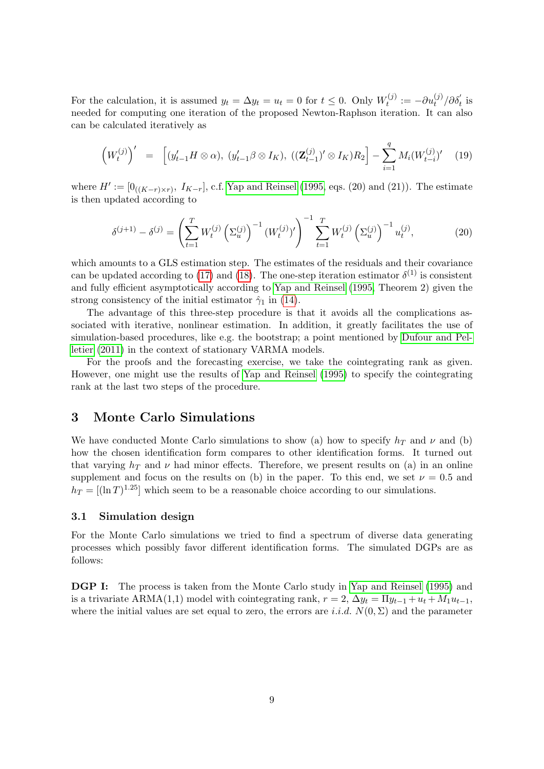For the calculation, it is assumed  $y_t = \Delta y_t = u_t = 0$  for  $t \leq 0$ . Only  $W_t^{(j)}$  $t_t^{(j)}:=-\partial u_t^{(j)}/\partial \delta_t'$  is needed for computing one iteration of the proposed Newton-Raphson iteration. It can also can be calculated iteratively as

$$
\left(W_t^{(j)}\right)' = \left[ (y'_{t-1}H \otimes \alpha), (y'_{t-1}\beta \otimes I_K), ((\mathbf{Z}_{t-1}^{(j)})' \otimes I_K)R_2 \right] - \sum_{i=1}^q M_i (W_{t-i}^{(j)})' \tag{19}
$$

where  $H' := [0_{((K-r)\times r)}, I_{K-r}]$ , c.f. [Yap and Reinsel \(1995,](#page-18-0) eqs. (20) and (21)). The estimate is then updated according to

<span id="page-8-1"></span>
$$
\delta^{(j+1)} - \delta^{(j)} = \left(\sum_{t=1}^{T} W_t^{(j)} \left(\Sigma_u^{(j)}\right)^{-1} \left(W_t^{(j)}\right)'\right)^{-1} \sum_{t=1}^{T} W_t^{(j)} \left(\Sigma_u^{(j)}\right)^{-1} u_t^{(j)},\tag{20}
$$

which amounts to a GLS estimation step. The estimates of the residuals and their covariance can be updated according to [\(17\)](#page-7-3) and [\(18\)](#page-7-3). The one-step iteration estimator  $\delta^{(1)}$  is consistent and fully efficient asymptotically according to [Yap and Reinsel \(1995,](#page-18-0) Theorem 2) given the strong consistency of the initial estimator  $\hat{\gamma}_1$  in [\(14\)](#page-7-1).

The advantage of this three-step procedure is that it avoids all the complications associated with iterative, nonlinear estimation. In addition, it greatly facilitates the use of simulation-based procedures, like e.g. the bootstrap; a point mentioned by [Dufour and Pel](#page-16-0)[letier \(2011\)](#page-16-0) in the context of stationary VARMA models.

For the proofs and the forecasting exercise, we take the cointegrating rank as given. However, one might use the results of [Yap and Reinsel \(1995\)](#page-18-0) to specify the cointegrating rank at the last two steps of the procedure.

# <span id="page-8-0"></span>3 Monte Carlo Simulations

We have conducted Monte Carlo simulations to show (a) how to specify  $h_T$  and  $\nu$  and (b) how the chosen identification form compares to other identification forms. It turned out that varying  $h_T$  and  $\nu$  had minor effects. Therefore, we present results on (a) in an online supplement and focus on the results on (b) in the paper. To this end, we set  $\nu = 0.5$  and  $h_T = [(\ln T)^{1.25}]$  which seem to be a reasonable choice according to our simulations.

## 3.1 Simulation design

For the Monte Carlo simulations we tried to find a spectrum of diverse data generating processes which possibly favor different identification forms. The simulated DGPs are as follows:

DGP I: The process is taken from the Monte Carlo study in [Yap and Reinsel \(1995\)](#page-18-0) and is a trivariate ARMA(1,1) model with cointegrating rank,  $r = 2$ ,  $\Delta y_t = \Pi y_{t-1} + u_t + M_1 u_{t-1}$ , where the initial values are set equal to zero, the errors are i.i.d.  $N(0, \Sigma)$  and the parameter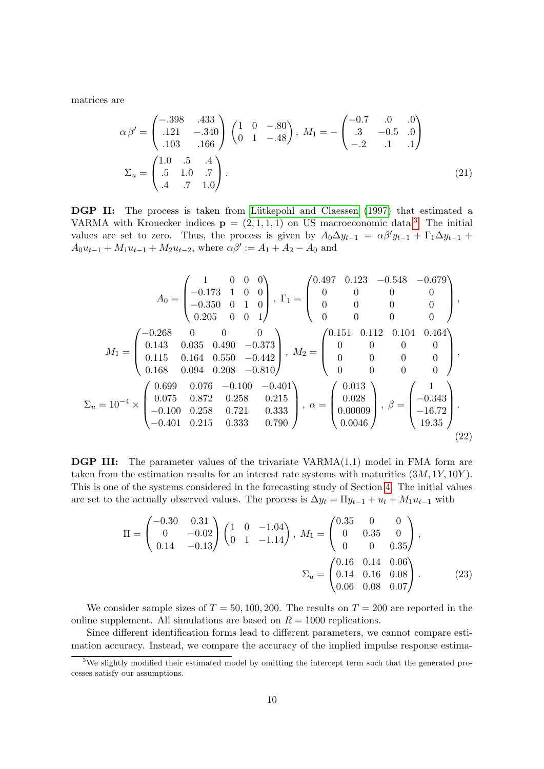matrices are

$$
\alpha \beta' = \begin{pmatrix} -.398 & .433 \\ .121 & -.340 \\ .103 & .166 \end{pmatrix} \begin{pmatrix} 1 & 0 & -.80 \\ 0 & 1 & -.48 \end{pmatrix}, M_1 = -\begin{pmatrix} -0.7 & .0 & .0 \\ .3 & -0.5 & .0 \\ -.2 & .1 & .1 \end{pmatrix}
$$
  

$$
\Sigma_u = \begin{pmatrix} 1.0 & .5 & .4 \\ .5 & 1.0 & .7 \\ .4 & .7 & 1.0 \end{pmatrix}.
$$
 (21)

DGP II: The process is taken from Lütkepohl and Claessen (1997) that estimated a VARMA with Kronecker indices  $p = (2, 1, 1, 1)$  on US macroeconomic data.<sup>[3](#page-9-0)</sup> The initial values are set to zero. Thus, the process is given by  $A_0\Delta y_{t-1} = \alpha\beta' y_{t-1} + \Gamma_1\Delta y_{t-1}$  +  $A_0u_{t-1} + M_1u_{t-1} + M_2u_{t-2}$ , where  $\alpha\beta' := A_1 + A_2 - A_0$  and

$$
A_0 = \begin{pmatrix} 1 & 0 & 0 & 0 \\ -0.173 & 1 & 0 & 0 \\ -0.350 & 0 & 1 & 0 \\ 0.205 & 0 & 0 & 1 \end{pmatrix}, \ \Gamma_1 = \begin{pmatrix} 0.497 & 0.123 & -0.548 & -0.679 \\ 0 & 0 & 0 & 0 \\ 0 & 0 & 0 & 0 \\ 0 & 0 & 0 & 0 \end{pmatrix},
$$

$$
M_1 = \begin{pmatrix} -0.268 & 0 & 0 & 0 \\ 0.143 & 0.035 & 0.490 & -0.373 \\ 0.115 & 0.164 & 0.550 & -0.442 \\ 0.168 & 0.094 & 0.208 & -0.810 \end{pmatrix}, \ M_2 = \begin{pmatrix} 0.151 & 0.112 & 0.104 & 0.464 \\ 0 & 0 & 0 & 0 \\ 0 & 0 & 0 & 0 \\ 0 & 0 & 0 & 0 \end{pmatrix},
$$

$$
\Sigma_u = 10^{-4} \times \begin{pmatrix} 0.699 & 0.076 & -0.100 & -0.401 \\ 0.075 & 0.872 & 0.258 & 0.215 \\ -0.100 & 0.258 & 0.721 & 0.333 \\ -0.401 & 0.215 & 0.333 & 0.790 \end{pmatrix}, \ \alpha = \begin{pmatrix} 0.013 \\ 0.028 \\ 0.00009 \\ 0.0046 \end{pmatrix}, \ \beta = \begin{pmatrix} 1 \\ -0.343 \\ -16.72 \\ 19.35 \end{pmatrix}.
$$
(22)

**DGP III:** The parameter values of the trivariate  $VARMA(1,1)$  model in FMA form are taken from the estimation results for an interest rate systems with maturities  $(3M, 1Y, 10Y)$ . This is one of the systems considered in the forecasting study of Section [4.](#page-11-0) The initial values are set to the actually observed values. The process is  $\Delta y_t = \Pi y_{t-1} + u_t + M_1 u_{t-1}$  with

$$
\Pi = \begin{pmatrix} -0.30 & 0.31 \\ 0 & -0.02 \\ 0.14 & -0.13 \end{pmatrix} \begin{pmatrix} 1 & 0 & -1.04 \\ 0 & 1 & -1.14 \end{pmatrix}, \ M_1 = \begin{pmatrix} 0.35 & 0 & 0 \\ 0 & 0.35 & 0 \\ 0 & 0 & 0.35 \end{pmatrix},
$$

$$
\Sigma_u = \begin{pmatrix} 0.16 & 0.14 & 0.06 \\ 0.14 & 0.16 & 0.08 \\ 0.06 & 0.08 & 0.07 \end{pmatrix}.
$$
(23)

We consider sample sizes of  $T = 50, 100, 200$ . The results on  $T = 200$  are reported in the online supplement. All simulations are based on  $R = 1000$  replications.

Since different identification forms lead to different parameters, we cannot compare estimation accuracy. Instead, we compare the accuracy of the implied impulse response estima-

<span id="page-9-0"></span><sup>&</sup>lt;sup>3</sup>We slightly modified their estimated model by omitting the intercept term such that the generated processes satisfy our assumptions.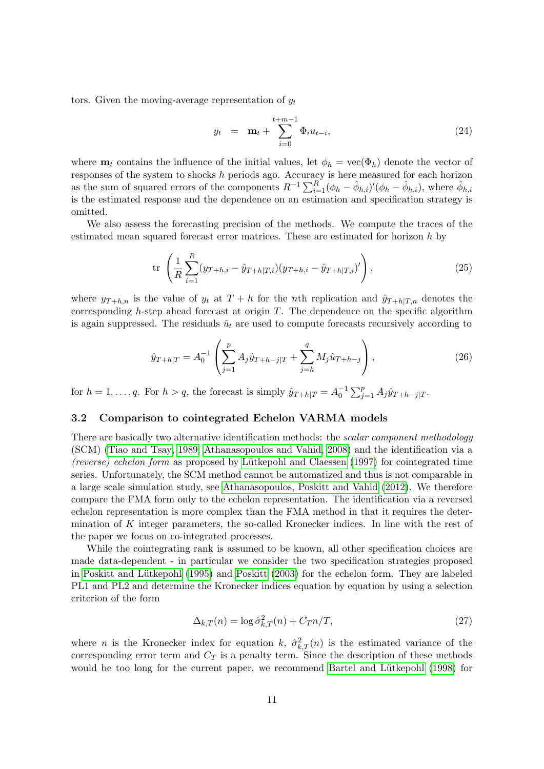tors. Given the moving-average representation of  $y_t$ 

$$
y_t = \mathbf{m}_t + \sum_{i=0}^{t+m-1} \Phi_i u_{t-i}, \qquad (24)
$$

where  $\mathbf{m}_t$  contains the influence of the initial values, let  $\phi_h = \text{vec}(\Phi_h)$  denote the vector of responses of the system to shocks h periods ago. Accuracy is here measured for each horizon as the sum of squared errors of the components  $R^{-1}\sum_{i=1}^{R}(\phi_h-\hat{\phi}_{h,i})'(\phi_h-\hat{\phi}_{h,i})$ , where  $\hat{\phi}_{h,i}$ is the estimated response and the dependence on an estimation and specification strategy is omitted.

We also assess the forecasting precision of the methods. We compute the traces of the estimated mean squared forecast error matrices. These are estimated for horizon h by

$$
\text{tr}\,\left(\frac{1}{R}\sum_{i=1}^{R}(y_{T+h,i}-\hat{y}_{T+h|T,i})(y_{T+h,i}-\hat{y}_{T+h|T,i})'\right),\tag{25}
$$

where  $y_{T+h,n}$  is the value of  $y_t$  at  $T+h$  for the nth replication and  $\hat{y}_{T+h|T,n}$  denotes the corresponding  $h$ -step ahead forecast at origin  $T$ . The dependence on the specific algorithm is again suppressed. The residuals  $\hat{u}_t$  are used to compute forecasts recursively according to

$$
\hat{y}_{T+h|T} = A_0^{-1} \left( \sum_{j=1}^p A_j \hat{y}_{T+h-j|T} + \sum_{j=h}^q M_j \hat{u}_{T+h-j} \right),\tag{26}
$$

for  $h = 1, \ldots, q$ . For  $h > q$ , the forecast is simply  $\hat{y}_{T+h|T} = A_0^{-1} \sum_{j=1}^p A_j \hat{y}_{T+h-j|T}$ .

### 3.2 Comparison to cointegrated Echelon VARMA models

There are basically two alternative identification methods: the *scalar component methodology* (SCM) [\(Tiao and Tsay, 1989;](#page-18-5) [Athanasopoulos and Vahid, 2008\)](#page-16-3) and the identification via a (reverse) echelon form as proposed by Lütkepohl and Claessen  $(1997)$  for cointegrated time series. Unfortunately, the SCM method cannot be automatized and thus is not comparable in a large scale simulation study, see [Athanasopoulos, Poskitt and Vahid \(2012\)](#page-16-5). We therefore compare the FMA form only to the echelon representation. The identification via a reversed echelon representation is more complex than the FMA method in that it requires the determination of  $K$  integer parameters, the so-called Kronecker indices. In line with the rest of the paper we focus on co-integrated processes.

While the cointegrating rank is assumed to be known, all other specification choices are made data-dependent - in particular we consider the two specification strategies proposed in Poskitt and Lütkepohl (1995) and [Poskitt \(2003\)](#page-18-2) for the echelon form. They are labeled PL1 and PL2 and determine the Kronecker indices equation by equation by using a selection criterion of the form

$$
\Delta_{k,T}(n) = \log \hat{\sigma}_{k,T}^2(n) + C_T n/T,\tag{27}
$$

where *n* is the Kronecker index for equation k,  $\hat{\sigma}_{k,T}^2(n)$  is the estimated variance of the corresponding error term and  $C_T$  is a penalty term. Since the description of these methods would be too long for the current paper, we recommend Bartel and Lütkepohl (1998) for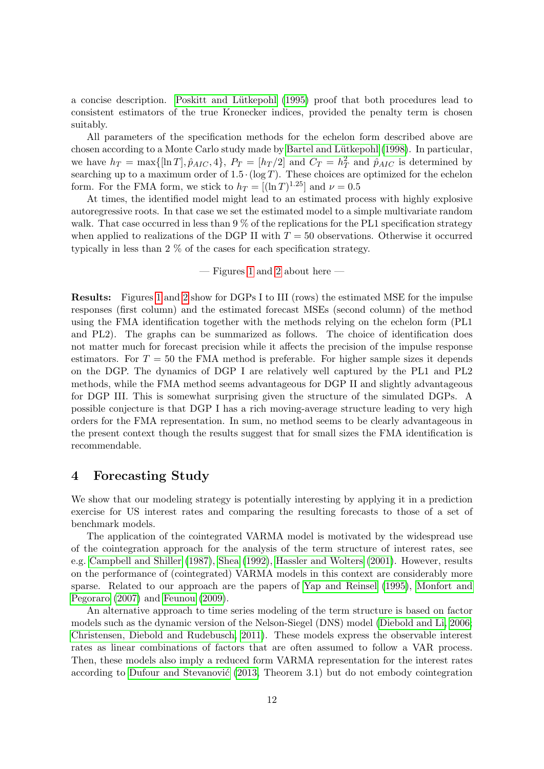a concise description. Poskitt and Lütkepohl (1995) proof that both procedures lead to consistent estimators of the true Kronecker indices, provided the penalty term is chosen suitably.

All parameters of the specification methods for the echelon form described above are chosen according to a Monte Carlo study made by Bartel and Lütkepohl (1998). In particular, we have  $h_T = \max\{[\ln T], \hat{p}_{AIC}, 4\}, P_T = [h_T/2]$  and  $C_T = h_T^2$  and  $\hat{p}_{AIC}$  is determined by searching up to a maximum order of  $1.5 \cdot (\log T)$ . These choices are optimized for the echelon form. For the FMA form, we stick to  $h_T = [(\ln T)^{1.25}]$  and  $\nu = 0.5$ 

At times, the identified model might lead to an estimated process with highly explosive autoregressive roots. In that case we set the estimated model to a simple multivariate random walk. That case occurred in less than 9 % of the replications for the PL1 specification strategy when applied to realizations of the DGP II with  $T = 50$  observations. Otherwise it occurred typically in less than 2 % of the cases for each specification strategy.

— Figures [1](#page-27-0) and [2](#page-28-0) about here —

Results: Figures [1](#page-27-0) and [2](#page-28-0) show for DGPs I to III (rows) the estimated MSE for the impulse responses (first column) and the estimated forecast MSEs (second column) of the method using the FMA identification together with the methods relying on the echelon form (PL1 and PL2). The graphs can be summarized as follows. The choice of identification does not matter much for forecast precision while it affects the precision of the impulse response estimators. For  $T = 50$  the FMA method is preferable. For higher sample sizes it depends on the DGP. The dynamics of DGP I are relatively well captured by the PL1 and PL2 methods, while the FMA method seems advantageous for DGP II and slightly advantageous for DGP III. This is somewhat surprising given the structure of the simulated DGPs. A possible conjecture is that DGP I has a rich moving-average structure leading to very high orders for the FMA representation. In sum, no method seems to be clearly advantageous in the present context though the results suggest that for small sizes the FMA identification is recommendable.

# <span id="page-11-0"></span>4 Forecasting Study

We show that our modeling strategy is potentially interesting by applying it in a prediction exercise for US interest rates and comparing the resulting forecasts to those of a set of benchmark models.

The application of the cointegrated VARMA model is motivated by the widespread use of the cointegration approach for the analysis of the term structure of interest rates, see e.g. [Campbell and Shiller \(1987\)](#page-16-7), [Shea \(1992\)](#page-18-6), [Hassler and Wolters \(2001\)](#page-17-6). However, results on the performance of (cointegrated) VARMA models in this context are considerably more sparse. Related to our approach are the papers of [Yap and Reinsel \(1995\)](#page-18-0), [Monfort and](#page-17-7) [Pegoraro \(2007\)](#page-17-7) and [Feunou \(2009\)](#page-17-8).

An alternative approach to time series modeling of the term structure is based on factor models such as the dynamic version of the Nelson-Siegel (DNS) model [\(Diebold and Li, 2006;](#page-16-8) [Christensen, Diebold and Rudebusch, 2011\)](#page-16-9). These models express the observable interest rates as linear combinations of factors that are often assumed to follow a VAR process. Then, these models also imply a reduced form VARMA representation for the interest rates according to Dufour and Stevanović  $(2013,$  Theorem 3.1) but do not embody cointegration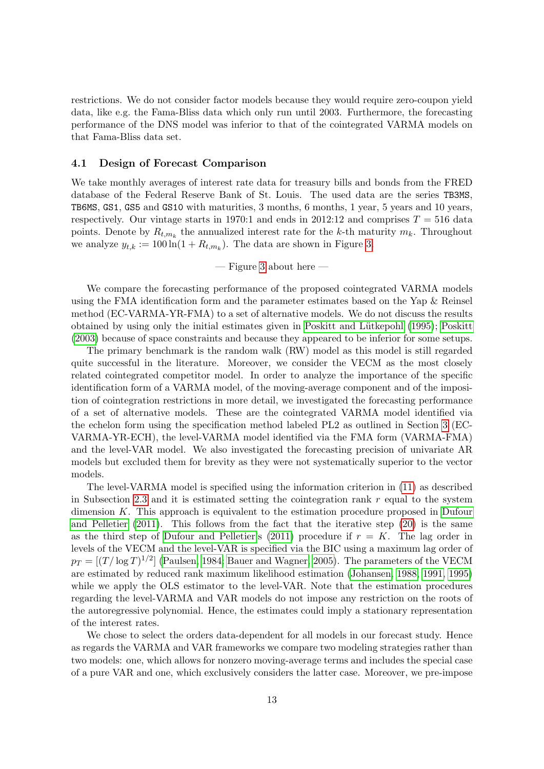restrictions. We do not consider factor models because they would require zero-coupon yield data, like e.g. the Fama-Bliss data which only run until 2003. Furthermore, the forecasting performance of the DNS model was inferior to that of the cointegrated VARMA models on that Fama-Bliss data set.

## 4.1 Design of Forecast Comparison

We take monthly averages of interest rate data for treasury bills and bonds from the FRED database of the Federal Reserve Bank of St. Louis. The used data are the series TB3MS, TB6MS, GS1, GS5 and GS10 with maturities, 3 months, 6 months, 1 year, 5 years and 10 years, respectively. Our vintage starts in 1970:1 and ends in 2012:12 and comprises  $T = 516$  data points. Denote by  $R_{t,m_k}$  the annualized interest rate for the k-th maturity  $m_k$ . Throughout we analyze  $y_{t,k} := 100 \ln(1 + R_{t,m_k})$ . The data are shown in Figure [3.](#page-29-0)

 $-$  Figure [3](#page-29-0) about here  $-$ 

We compare the forecasting performance of the proposed cointegrated VARMA models using the FMA identification form and the parameter estimates based on the Yap & Reinsel method (EC-VARMA-YR-FMA) to a set of alternative models. We do not discuss the results obtained by using only the initial estimates given in [Poskitt](#page-18-2) and Lütkepohl (1995); Poskitt [\(2003\)](#page-18-2) because of space constraints and because they appeared to be inferior for some setups.

The primary benchmark is the random walk (RW) model as this model is still regarded quite successful in the literature. Moreover, we consider the VECM as the most closely related cointegrated competitor model. In order to analyze the importance of the specific identification form of a VARMA model, of the moving-average component and of the imposition of cointegration restrictions in more detail, we investigated the forecasting performance of a set of alternative models. These are the cointegrated VARMA model identified via the echelon form using the specification method labeled PL2 as outlined in Section [3](#page-8-0) (EC-VARMA-YR-ECH), the level-VARMA model identified via the FMA form (VARMA-FMA) and the level-VAR model. We also investigated the forecasting precision of univariate AR models but excluded them for brevity as they were not systematically superior to the vector models.

The level-VARMA model is specified using the information criterion in [\(11\)](#page-5-1) as described in Subsection [2.3](#page-5-2) and it is estimated setting the cointegration rank  $r$  equal to the system dimension K. This approach is equivalent to the estimation procedure proposed in [Dufour](#page-16-0) [and Pelletier \(2011\)](#page-16-0). This follows from the fact that the iterative step [\(20\)](#page-8-1) is the same as the third step of [Dufour and Pelletier'](#page-16-0)s [\(2011\)](#page-16-0) procedure if  $r = K$ . The lag order in levels of the VECM and the level-VAR is specified via the BIC using a maximum lag order of  $p_T = [(T/\log T)^{1/2}]$  [\(Paulsen, 1984;](#page-18-7) [Bauer and Wagner, 2005\)](#page-16-4). The parameters of the VECM are estimated by reduced rank maximum likelihood estimation [\(Johansen, 1988,](#page-17-9) [1991,](#page-17-10) [1995\)](#page-17-11) while we apply the OLS estimator to the level-VAR. Note that the estimation procedures regarding the level-VARMA and VAR models do not impose any restriction on the roots of the autoregressive polynomial. Hence, the estimates could imply a stationary representation of the interest rates.

We chose to select the orders data-dependent for all models in our forecast study. Hence as regards the VARMA and VAR frameworks we compare two modeling strategies rather than two models: one, which allows for nonzero moving-average terms and includes the special case of a pure VAR and one, which exclusively considers the latter case. Moreover, we pre-impose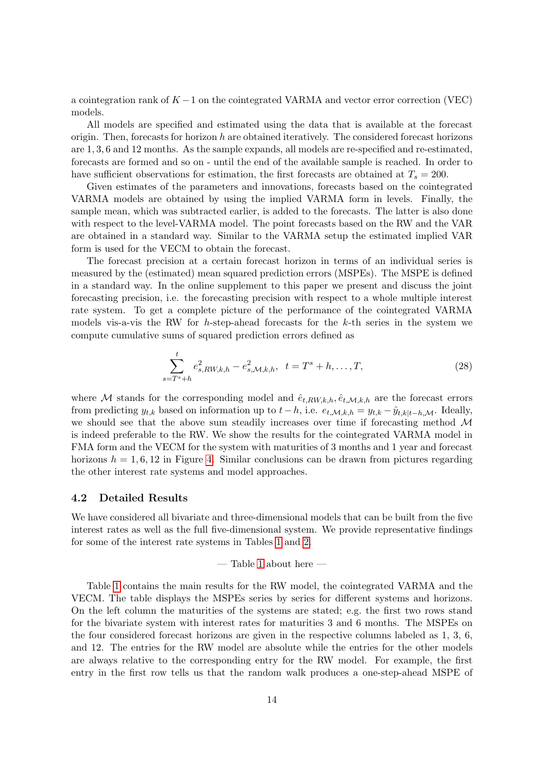a cointegration rank of  $K - 1$  on the cointegrated VARMA and vector error correction (VEC) models.

All models are specified and estimated using the data that is available at the forecast origin. Then, forecasts for horizon  $h$  are obtained iteratively. The considered forecast horizons are 1, 3, 6 and 12 months. As the sample expands, all models are re-specified and re-estimated, forecasts are formed and so on - until the end of the available sample is reached. In order to have sufficient observations for estimation, the first forecasts are obtained at  $T_s = 200$ .

Given estimates of the parameters and innovations, forecasts based on the cointegrated VARMA models are obtained by using the implied VARMA form in levels. Finally, the sample mean, which was subtracted earlier, is added to the forecasts. The latter is also done with respect to the level-VARMA model. The point forecasts based on the RW and the VAR are obtained in a standard way. Similar to the VARMA setup the estimated implied VAR form is used for the VECM to obtain the forecast.

The forecast precision at a certain forecast horizon in terms of an individual series is measured by the (estimated) mean squared prediction errors (MSPEs). The MSPE is defined in a standard way. In the online supplement to this paper we present and discuss the joint forecasting precision, i.e. the forecasting precision with respect to a whole multiple interest rate system. To get a complete picture of the performance of the cointegrated VARMA models vis-a-vis the RW for h-step-ahead forecasts for the  $k$ -th series in the system we compute cumulative sums of squared prediction errors defined as

$$
\sum_{s=T^{s}+h}^{t} e_{s,RW,k,h}^{2} - e_{s,\mathcal{M},k,h}^{2}, \quad t = T^{s} + h, \dots, T,
$$
\n(28)

where M stands for the corresponding model and  $\hat{e}_{t,RW,k,h}, \hat{e}_{t,M,k,h}$  are the forecast errors from predicting  $y_{t,k}$  based on information up to  $t-h$ , i.e.  $e_{t,\mathcal{M},k,h} = y_{t,k} - \hat{y}_{t,k|t-h,\mathcal{M}}$ . Ideally, we should see that the above sum steadily increases over time if forecasting method M is indeed preferable to the RW. We show the results for the cointegrated VARMA model in FMA form and the VECM for the system with maturities of 3 months and 1 year and forecast horizons  $h = 1, 6, 12$  in Figure [4.](#page-30-0) Similar conclusions can be drawn from pictures regarding the other interest rate systems and model approaches.

### 4.2 Detailed Results

We have considered all bivariate and three-dimensional models that can be built from the five interest rates as well as the full five-dimensional system. We provide representative findings for some of the interest rate systems in Tables [1](#page-31-0) and [2.](#page-32-0)

— Table [1](#page-31-0) about here —

Table [1](#page-31-0) contains the main results for the RW model, the cointegrated VARMA and the VECM. The table displays the MSPEs series by series for different systems and horizons. On the left column the maturities of the systems are stated; e.g. the first two rows stand for the bivariate system with interest rates for maturities 3 and 6 months. The MSPEs on the four considered forecast horizons are given in the respective columns labeled as 1, 3, 6, and 12. The entries for the RW model are absolute while the entries for the other models are always relative to the corresponding entry for the RW model. For example, the first entry in the first row tells us that the random walk produces a one-step-ahead MSPE of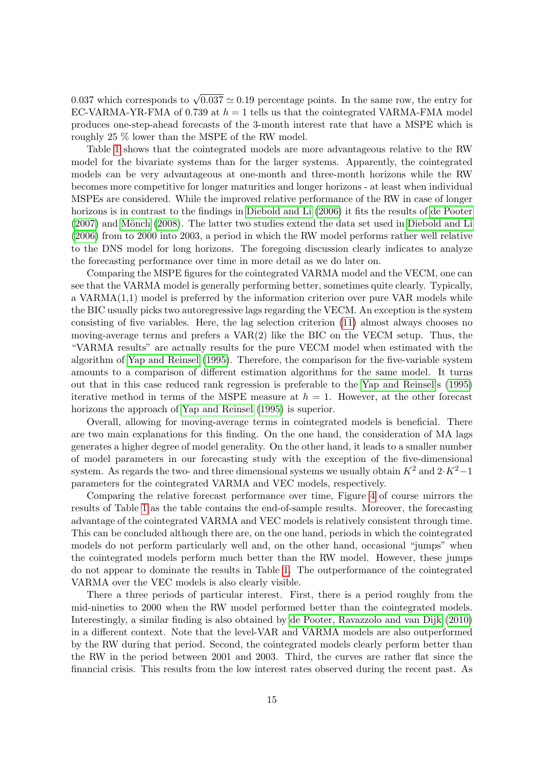0.037 which corresponds to  $\sqrt{0.037} \simeq 0.19$  percentage points. In the same row, the entry for EC-VARMA-YR-FMA of 0.739 at  $h = 1$  tells us that the cointegrated VARMA-FMA model produces one-step-ahead forecasts of the 3-month interest rate that have a MSPE which is roughly 25 % lower than the MSPE of the RW model.

Table [1](#page-31-0) shows that the cointegrated models are more advantageous relative to the RW model for the bivariate systems than for the larger systems. Apparently, the cointegrated models can be very advantageous at one-month and three-month horizons while the RW becomes more competitive for longer maturities and longer horizons - at least when individual MSPEs are considered. While the improved relative performance of the RW in case of longer horizons is in contrast to the findings in [Diebold and Li \(2006\)](#page-16-8) it fits the results of [de Pooter](#page-16-11)  $(2007)$  and Mönch  $(2008)$ . The latter two studies extend the data set used in [Diebold and Li](#page-16-8) [\(2006\)](#page-16-8) from to 2000 into 2003, a period in which the RW model performs rather well relative to the DNS model for long horizons. The foregoing discussion clearly indicates to analyze the forecasting performance over time in more detail as we do later on.

Comparing the MSPE figures for the cointegrated VARMA model and the VECM, one can see that the VARMA model is generally performing better, sometimes quite clearly. Typically, a VARMA(1,1) model is preferred by the information criterion over pure VAR models while the BIC usually picks two autoregressive lags regarding the VECM. An exception is the system consisting of five variables. Here, the lag selection criterion [\(11\)](#page-5-1) almost always chooses no moving-average terms and prefers a  $VAR(2)$  like the BIC on the VECM setup. Thus, the "VARMA results" are actually results for the pure VECM model when estimated with the algorithm of [Yap and Reinsel \(1995\)](#page-18-0). Therefore, the comparison for the five-variable system amounts to a comparison of different estimation algorithms for the same model. It turns out that in this case reduced rank regression is preferable to the [Yap and Reinsel'](#page-18-0)s [\(1995\)](#page-18-0) iterative method in terms of the MSPE measure at  $h = 1$ . However, at the other forecast horizons the approach of Yap and Reinsel  $(1995)$  is superior.

Overall, allowing for moving-average terms in cointegrated models is beneficial. There are two main explanations for this finding. On the one hand, the consideration of MA lags generates a higher degree of model generality. On the other hand, it leads to a smaller number of model parameters in our forecasting study with the exception of the five-dimensional system. As regards the two- and three dimensional systems we usually obtain  $K^2$  and  $2\cdot K^2-1$ parameters for the cointegrated VARMA and VEC models, respectively.

Comparing the relative forecast performance over time, Figure [4](#page-30-0) of course mirrors the results of Table [1](#page-31-0) as the table contains the end-of-sample results. Moreover, the forecasting advantage of the cointegrated VARMA and VEC models is relatively consistent through time. This can be concluded although there are, on the one hand, periods in which the cointegrated models do not perform particularly well and, on the other hand, occasional "jumps" when the cointegrated models perform much better than the RW model. However, these jumps do not appear to dominate the results in Table [1.](#page-31-0) The outperformance of the cointegrated VARMA over the VEC models is also clearly visible.

There a three periods of particular interest. First, there is a period roughly from the mid-nineties to 2000 when the RW model performed better than the cointegrated models. Interestingly, a similar finding is also obtained by [de Pooter, Ravazzolo and van Dijk \(2010\)](#page-16-12) in a different context. Note that the level-VAR and VARMA models are also outperformed by the RW during that period. Second, the cointegrated models clearly perform better than the RW in the period between 2001 and 2003. Third, the curves are rather flat since the financial crisis. This results from the low interest rates observed during the recent past. As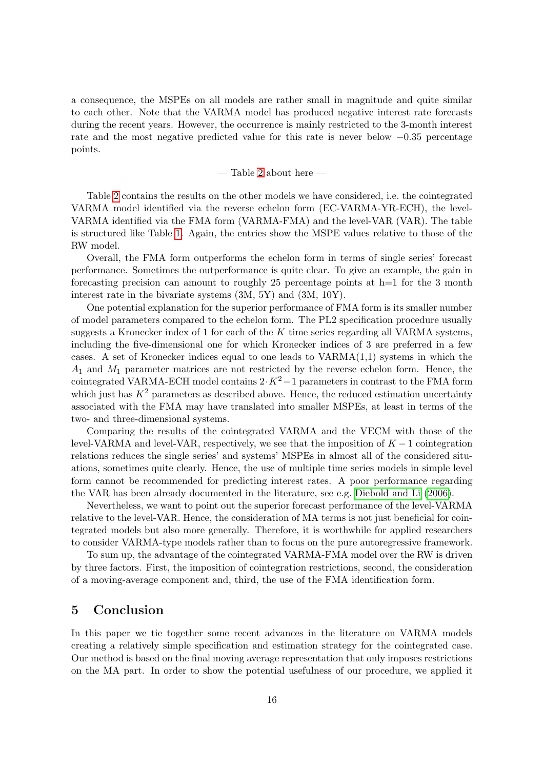a consequence, the MSPEs on all models are rather small in magnitude and quite similar to each other. Note that the VARMA model has produced negative interest rate forecasts during the recent years. However, the occurrence is mainly restricted to the 3-month interest rate and the most negative predicted value for this rate is never below −0.35 percentage points.

#### — Table [2](#page-32-0) about here —

Table [2](#page-32-0) contains the results on the other models we have considered, i.e. the cointegrated VARMA model identified via the reverse echelon form (EC-VARMA-YR-ECH), the level-VARMA identified via the FMA form (VARMA-FMA) and the level-VAR (VAR). The table is structured like Table [1.](#page-31-0) Again, the entries show the MSPE values relative to those of the RW model.

Overall, the FMA form outperforms the echelon form in terms of single series' forecast performance. Sometimes the outperformance is quite clear. To give an example, the gain in forecasting precision can amount to roughly 25 percentage points at  $h=1$  for the 3 month interest rate in the bivariate systems (3M, 5Y) and (3M, 10Y).

One potential explanation for the superior performance of FMA form is its smaller number of model parameters compared to the echelon form. The PL2 specification procedure usually suggests a Kronecker index of 1 for each of the  $K$  time series regarding all VARMA systems, including the five-dimensional one for which Kronecker indices of 3 are preferred in a few cases. A set of Kronecker indices equal to one leads to VARMA(1,1) systems in which the  $A_1$  and  $M_1$  parameter matrices are not restricted by the reverse echelon form. Hence, the cointegrated VARMA-ECH model contains  $2 \cdot K^2 - 1$  parameters in contrast to the FMA form which just has  $K^2$  parameters as described above. Hence, the reduced estimation uncertainty associated with the FMA may have translated into smaller MSPEs, at least in terms of the two- and three-dimensional systems.

Comparing the results of the cointegrated VARMA and the VECM with those of the level-VARMA and level-VAR, respectively, we see that the imposition of  $K - 1$  cointegration relations reduces the single series' and systems' MSPEs in almost all of the considered situations, sometimes quite clearly. Hence, the use of multiple time series models in simple level form cannot be recommended for predicting interest rates. A poor performance regarding the VAR has been already documented in the literature, see e.g. [Diebold and Li \(2006\)](#page-16-8).

Nevertheless, we want to point out the superior forecast performance of the level-VARMA relative to the level-VAR. Hence, the consideration of MA terms is not just beneficial for cointegrated models but also more generally. Therefore, it is worthwhile for applied researchers to consider VARMA-type models rather than to focus on the pure autoregressive framework.

To sum up, the advantage of the cointegrated VARMA-FMA model over the RW is driven by three factors. First, the imposition of cointegration restrictions, second, the consideration of a moving-average component and, third, the use of the FMA identification form.

# 5 Conclusion

In this paper we tie together some recent advances in the literature on VARMA models creating a relatively simple specification and estimation strategy for the cointegrated case. Our method is based on the final moving average representation that only imposes restrictions on the MA part. In order to show the potential usefulness of our procedure, we applied it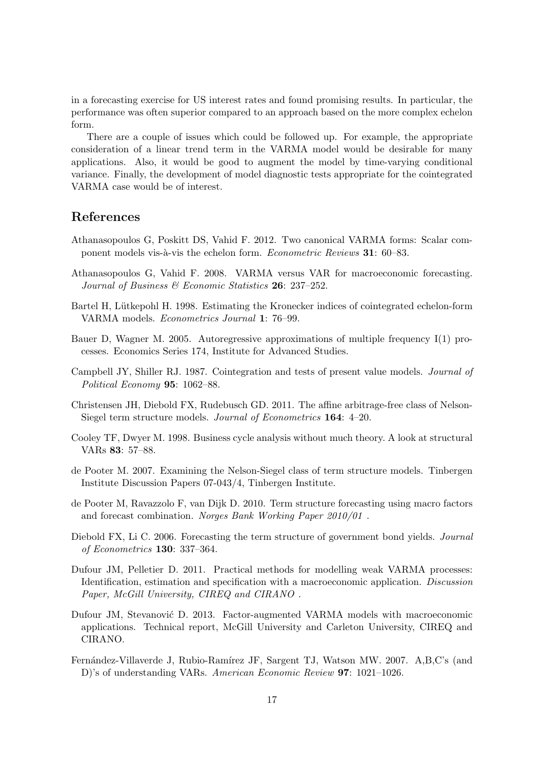in a forecasting exercise for US interest rates and found promising results. In particular, the performance was often superior compared to an approach based on the more complex echelon form.

There are a couple of issues which could be followed up. For example, the appropriate consideration of a linear trend term in the VARMA model would be desirable for many applications. Also, it would be good to augment the model by time-varying conditional variance. Finally, the development of model diagnostic tests appropriate for the cointegrated VARMA case would be of interest.

# References

- <span id="page-16-5"></span>Athanasopoulos G, Poskitt DS, Vahid F. 2012. Two canonical VARMA forms: Scalar component models vis-à-vis the echelon form. *Econometric Reviews* 31: 60–83.
- <span id="page-16-3"></span>Athanasopoulos G, Vahid F. 2008. VARMA versus VAR for macroeconomic forecasting. Journal of Business & Economic Statistics 26: 237-252.
- <span id="page-16-6"></span>Bartel H, Lütkepohl H. 1998. Estimating the Kronecker indices of cointegrated echelon-form VARMA models. Econometrics Journal 1: 76–99.
- <span id="page-16-4"></span>Bauer D, Wagner M. 2005. Autoregressive approximations of multiple frequency I(1) processes. Economics Series 174, Institute for Advanced Studies.
- <span id="page-16-7"></span>Campbell JY, Shiller RJ. 1987. Cointegration and tests of present value models. Journal of Political Economy 95: 1062–88.
- <span id="page-16-9"></span>Christensen JH, Diebold FX, Rudebusch GD. 2011. The affine arbitrage-free class of Nelson-Siegel term structure models. *Journal of Econometrics* **164**: 4–20.
- <span id="page-16-2"></span>Cooley TF, Dwyer M. 1998. Business cycle analysis without much theory. A look at structural VARs 83: 57–88.
- <span id="page-16-11"></span>de Pooter M. 2007. Examining the Nelson-Siegel class of term structure models. Tinbergen Institute Discussion Papers 07-043/4, Tinbergen Institute.
- <span id="page-16-12"></span>de Pooter M, Ravazzolo F, van Dijk D. 2010. Term structure forecasting using macro factors and forecast combination. Norges Bank Working Paper 2010/01 .
- <span id="page-16-8"></span>Diebold FX, Li C. 2006. Forecasting the term structure of government bond yields. Journal of Econometrics 130: 337–364.
- <span id="page-16-0"></span>Dufour JM, Pelletier D. 2011. Practical methods for modelling weak VARMA processes: Identification, estimation and specification with a macroeconomic application. Discussion Paper, McGill University, CIREQ and CIRANO .
- <span id="page-16-10"></span>Dufour JM, Stevanović D. 2013. Factor-augmented VARMA models with macroeconomic applications. Technical report, McGill University and Carleton University, CIREQ and CIRANO.
- <span id="page-16-1"></span>Fernández-Villaverde J, Rubio-Ramírez JF, Sargent TJ, Watson MW. 2007. A,B,C's (and D)'s of understanding VARs. American Economic Review 97: 1021–1026.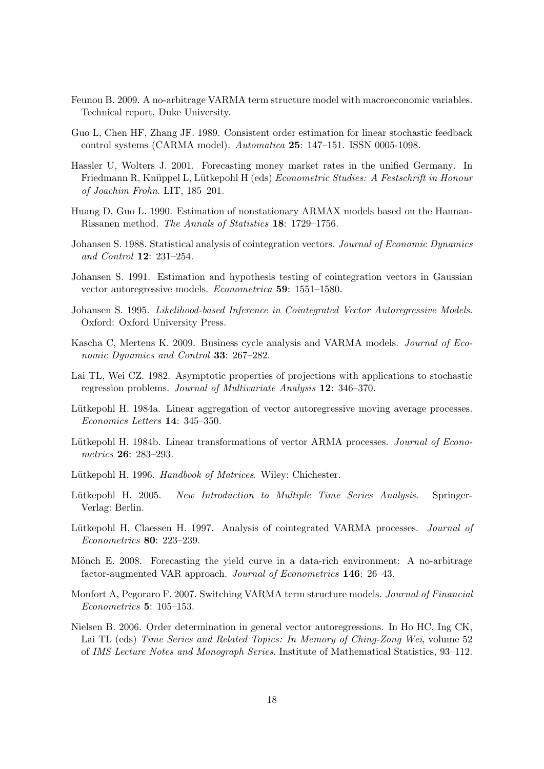- <span id="page-17-8"></span>Feunou B. 2009. A no-arbitrage VARMA term structure model with macroeconomic variables. Technical report, Duke University.
- <span id="page-17-13"></span>Guo L, Chen HF, Zhang JF. 1989. Consistent order estimation for linear stochastic feedback control systems (CARMA model). Automatica 25: 147–151. ISSN 0005-1098.
- <span id="page-17-6"></span>Hassler U, Wolters J. 2001. Forecasting money market rates in the unified Germany. In Friedmann R, Knüppel L, Lütkepohl H (eds) Econometric Studies: A Festschrift in Honour of Joachim Frohn. LIT, 185–201.
- <span id="page-17-5"></span>Huang D, Guo L. 1990. Estimation of nonstationary ARMAX models based on the Hannan-Rissanen method. The Annals of Statistics 18: 1729–1756.
- <span id="page-17-9"></span>Johansen S. 1988. Statistical analysis of cointegration vectors. Journal of Economic Dynamics and Control 12: 231–254.
- <span id="page-17-10"></span>Johansen S. 1991. Estimation and hypothesis testing of cointegration vectors in Gaussian vector autoregressive models. Econometrica 59: 1551–1580.
- <span id="page-17-11"></span>Johansen S. 1995. Likelihood-based Inference in Cointegrated Vector Autoregressive Models. Oxford: Oxford University Press.
- <span id="page-17-3"></span>Kascha C, Mertens K. 2009. Business cycle analysis and VARMA models. Journal of Economic Dynamics and Control 33: 267–282.
- <span id="page-17-16"></span>Lai TL, Wei CZ. 1982. Asymptotic properties of projections with applications to stochastic regression problems. Journal of Multivariate Analysis 12: 346–370.
- <span id="page-17-1"></span>Lütkepohl H. 1984a. Linear aggregation of vector autoregressive moving average processes. Economics Letters 14: 345–350.
- <span id="page-17-2"></span>Lütkepohl H. 1984b. Linear transformations of vector ARMA processes. Journal of Econometrics 26: 283–293.
- <span id="page-17-14"></span>Lütkepohl H. 1996. Handbook of Matrices. Wiley: Chichester.
- <span id="page-17-0"></span>Lütkepohl H. 2005. New Introduction to Multiple Time Series Analysis. Springer-Verlag: Berlin.
- <span id="page-17-4"></span>Lütkepohl H, Claessen H. 1997. Analysis of cointegrated VARMA processes. Journal of Econometrics 80: 223–239.
- <span id="page-17-12"></span>Mönch E. 2008. Forecasting the yield curve in a data-rich environment: A no-arbitrage factor-augmented VAR approach. Journal of Econometrics 146: 26–43.
- <span id="page-17-7"></span>Monfort A, Pegoraro F. 2007. Switching VARMA term structure models. Journal of Financial Econometrics 5: 105–153.
- <span id="page-17-15"></span>Nielsen B. 2006. Order determination in general vector autoregressions. In Ho HC, Ing CK, Lai TL (eds) Time Series and Related Topics: In Memory of Ching-Zong Wei, volume 52 of IMS Lecture Notes and Monograph Series. Institute of Mathematical Statistics, 93–112.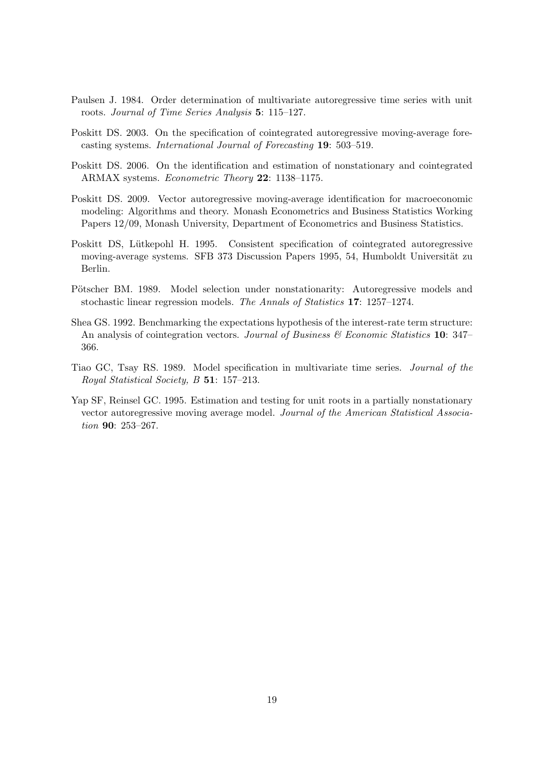- <span id="page-18-7"></span>Paulsen J. 1984. Order determination of multivariate autoregressive time series with unit roots. Journal of Time Series Analysis 5: 115–127.
- <span id="page-18-2"></span>Poskitt DS. 2003. On the specification of cointegrated autoregressive moving-average forecasting systems. International Journal of Forecasting 19: 503–519.
- <span id="page-18-3"></span>Poskitt DS. 2006. On the identification and estimation of nonstationary and cointegrated ARMAX systems. Econometric Theory 22: 1138–1175.
- <span id="page-18-4"></span>Poskitt DS. 2009. Vector autoregressive moving-average identification for macroeconomic modeling: Algorithms and theory. Monash Econometrics and Business Statistics Working Papers 12/09, Monash University, Department of Econometrics and Business Statistics.
- <span id="page-18-1"></span>Poskitt DS, Lütkepohl H. 1995. Consistent specification of cointegrated autoregressive moving-average systems. SFB 373 Discussion Papers 1995, 54, Humboldt Universität zu Berlin.
- <span id="page-18-8"></span>Pötscher BM. 1989. Model selection under nonstationarity: Autoregressive models and stochastic linear regression models. The Annals of Statistics 17: 1257–1274.
- <span id="page-18-6"></span>Shea GS. 1992. Benchmarking the expectations hypothesis of the interest-rate term structure: An analysis of cointegration vectors. Journal of Business  $\mathcal{C}$  Economic Statistics 10: 347– 366.
- <span id="page-18-5"></span>Tiao GC, Tsay RS. 1989. Model specification in multivariate time series. Journal of the Royal Statistical Society, B 51: 157–213.
- <span id="page-18-0"></span>Yap SF, Reinsel GC. 1995. Estimation and testing for unit roots in a partially nonstationary vector autoregressive moving average model. Journal of the American Statistical Association **90**: 253-267.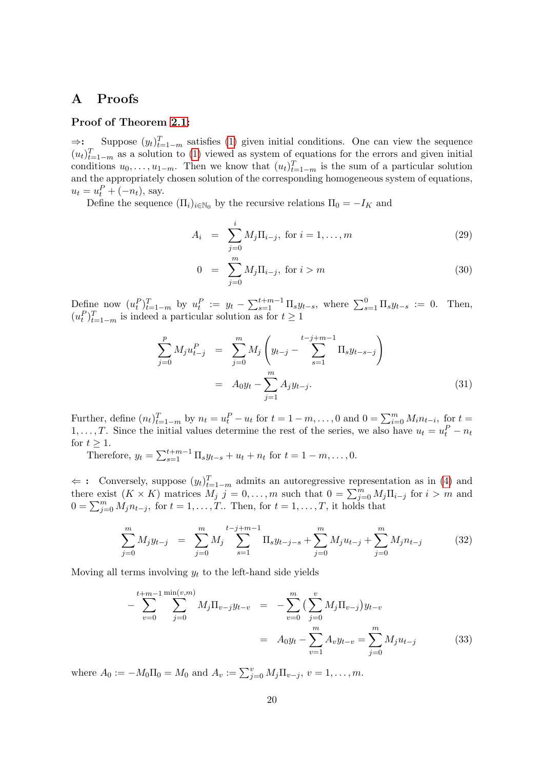# A Proofs

# Proof of Theorem [2.1:](#page-4-0)

 $\Rightarrow$ : Suppose  $(y_t)_{t=1-m}^T$  satisfies [\(1\)](#page-2-1) given initial conditions. One can view the sequence  $(u_t)_{t=1-m}^T$  as a solution to [\(1\)](#page-2-1) viewed as system of equations for the errors and given initial conditions  $u_0, \ldots, u_{1-m}$ . Then we know that  $(u_t)_{t=1-m}^T$  is the sum of a particular solution and the appropriately chosen solution of the corresponding homogeneous system of equations,  $u_t = u_t^P + (-n_t)$ , say.

Define the sequence  $(\Pi_i)_{i\in\mathbb{N}_0}$  by the recursive relations  $\Pi_0 = -I_K$  and

$$
A_i = \sum_{j=0}^{i} M_j \Pi_{i-j}, \text{ for } i = 1, ..., m
$$
 (29)

$$
0 = \sum_{j=0}^{m} M_j \Pi_{i-j}, \text{ for } i > m
$$
 (30)

Define now  $(u_t^P)_{t=1-m}^T$  by  $u_t^P := y_t - \sum_{s=1}^{t+m-1} \Pi_s y_{t-s}$ , where  $\sum_{s=1}^0 \Pi_s y_{t-s} := 0$ . Then,  $(u_t^P)_{t=1-m}^T$  is indeed a particular solution as for  $t \geq 1$ 

$$
\sum_{j=0}^{p} M_j u_{t-j}^P = \sum_{j=0}^{m} M_j \left( y_{t-j} - \sum_{s=1}^{t-j+m-1} \Pi_s y_{t-s-j} \right)
$$

$$
= A_0 y_t - \sum_{j=1}^{m} A_j y_{t-j}.
$$
(31)

Further, define  $(n_t)_{t=1-m}^T$  by  $n_t = u_t^P - u_t$  for  $t = 1-m, \ldots, 0$  and  $0 = \sum_{i=0}^m M_i n_{t-i}$ , for  $t =$ 1, ..., T. Since the initial values determine the rest of the series, we also have  $u_t = u_t^P - n_t$ for  $t \geq 1$ .

Therefore,  $y_t = \sum_{s=1}^{t+m-1} \Pi_s y_{t-s} + u_t + n_t$  for  $t = 1 - m, ..., 0$ .

 $\Leftarrow$ : Conversely, suppose  $(y_t)_{t=1-m}^T$  admits an autoregressive representation as in [\(4\)](#page-3-1) and there exist  $(K \times K)$  matrices  $M_j$   $j = 0, \ldots, m$  such that  $0 = \sum_{j=0}^{m} M_j \Pi_{i-j}$  for  $i > m$  and  $0 = \sum_{j=0}^{m} M_j n_{t-j}$ , for  $t = 1, \ldots, T$ . Then, for  $t = 1, \ldots, T$ , it holds that

$$
\sum_{j=0}^{m} M_j y_{t-j} = \sum_{j=0}^{m} M_j \sum_{s=1}^{t-j+m-1} \Pi_s y_{t-j-s} + \sum_{j=0}^{m} M_j u_{t-j} + \sum_{j=0}^{m} M_j n_{t-j}
$$
(32)

Moving all terms involving  $y_t$  to the left-hand side yields

$$
-\sum_{v=0}^{t+m-1} \sum_{j=0}^{\min(v,m)} M_j \Pi_{v-j} y_{t-v} = -\sum_{v=0}^{m} \left( \sum_{j=0}^{v} M_j \Pi_{v-j} \right) y_{t-v} = A_0 y_t - \sum_{v=1}^{m} A_v y_{t-v} = \sum_{j=0}^{m} M_j u_{t-j}
$$
(33)

where  $A_0 := -M_0 \Pi_0 = M_0$  and  $A_v := \sum_{j=0}^{v} M_j \Pi_{v-j}, v = 1, \ldots, m$ .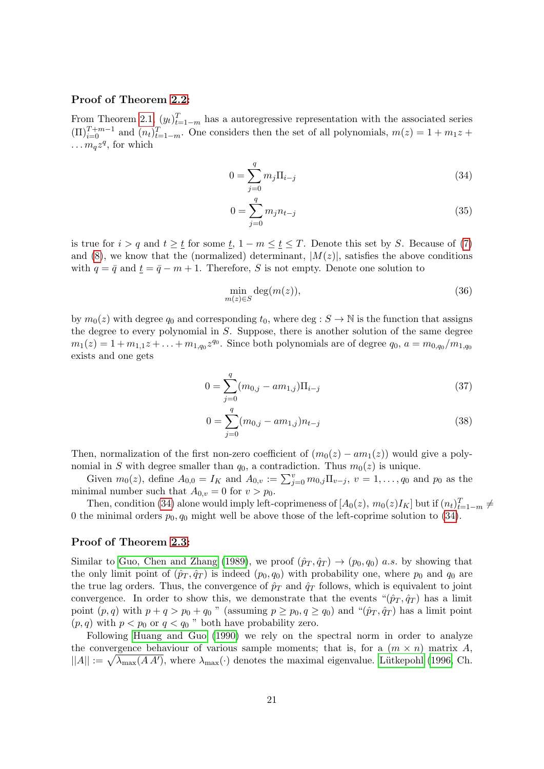### Proof of Theorem [2.2:](#page-4-2)

From Theorem [2.1,](#page-4-0)  $(y_t)_{t=1-m}^T$  has a autoregressive representation with the associated series  $(\Pi)_{i=0}^{T+m-1}$  and  $(n_t)_{t=1-m}^T$ . One considers then the set of all polynomials,  $m(z) = 1 + m_1 z +$  $\ldots m_q z^q$ , for which

<span id="page-20-0"></span>
$$
0 = \sum_{j=0}^{q} m_j \Pi_{i-j}
$$
 (34)

$$
0 = \sum_{j=0}^{q} m_j n_{t-j}
$$
\n(35)

is true for  $i > q$  and  $t \geq \underline{t}$  for some  $\underline{t}$ ,  $1 - m \leq \underline{t} \leq T$ . Denote this set by S. Because of [\(7\)](#page-4-1) and [\(8\)](#page-4-1), we know that the (normalized) determinant,  $|M(z)|$ , satisfies the above conditions with  $q = \bar{q}$  and  $t = \bar{q} - m + 1$ . Therefore, S is not empty. Denote one solution to

$$
\min_{m(z)\in S} \deg(m(z)),\tag{36}
$$

by  $m_0(z)$  with degree  $q_0$  and corresponding  $t_0$ , where deg :  $S \to \mathbb{N}$  is the function that assigns the degree to every polynomial in S. Suppose, there is another solution of the same degree  $m_1(z) = 1 + m_{1,1}z + \ldots + m_{1,q_0}z^{q_0}$ . Since both polynomials are of degree  $q_0$ ,  $a = m_{0,q_0}/m_{1,q_0}$ exists and one gets

$$
0 = \sum_{j=0}^{q} (m_{0,j} - am_{1,j}) \Pi_{i-j}
$$
\n(37)

$$
0 = \sum_{j=0}^{q} (m_{0,j} - am_{1,j})n_{t-j}
$$
\n(38)

Then, normalization of the first non-zero coefficient of  $(m_0(z) - am_1(z))$  would give a polynomial in S with degree smaller than  $q_0$ , a contradiction. Thus  $m_0(z)$  is unique.

Given  $m_0(z)$ , define  $A_{0,0} = I_K$  and  $A_{0,v} := \sum_{j=0}^{v} m_{0,j} \Pi_{v-j}$ ,  $v = 1, \ldots, q_0$  and  $p_0$  as the minimal number such that  $A_{0,v} = 0$  for  $v > p_0$ .

Then, condition [\(34\)](#page-20-0) alone would imply left-coprimeness of  $[A_0(z), m_0(z)I_K]$  but if  $(n_t)_{t=1-m}^T \neq$ 0 the minimal orders  $p_0, q_0$  might well be above those of the left-coprime solution to [\(34\)](#page-20-0).

### Proof of Theorem [2.3:](#page-6-0)

Similar to [Guo, Chen and Zhang \(1989\)](#page-17-13), we proof  $(\hat{p}_T, \hat{q}_T) \to (p_0, q_0)$  a.s. by showing that the only limit point of  $(\hat{p}_T, \hat{q}_T)$  is indeed  $(p_0, q_0)$  with probability one, where  $p_0$  and  $q_0$  are the true lag orders. Thus, the convergence of  $\hat{p}_T$  and  $\hat{q}_T$  follows, which is equivalent to joint convergence. In order to show this, we demonstrate that the events " $(\hat{p}_T, \hat{q}_T)$  has a limit point  $(p, q)$  with  $p + q > p_0 + q_0$  " (assuming  $p \ge p_0, q \ge q_0$ ) and " $(\hat{p}_T, \hat{q}_T)$  has a limit point  $(p, q)$  with  $p < p_0$  or  $q < q_0$ " both have probability zero.

Following [Huang and Guo \(1990\)](#page-17-5) we rely on the spectral norm in order to analyze the convergence behaviour of various sample moments; that is, for a  $(m \times n)$  matrix A,  $||A|| := \sqrt{\lambda_{\max}(A A')},$  where  $\lambda_{\max}(\cdot)$  denotes the maximal eigenvalue. Lütkepohl (1996, Ch.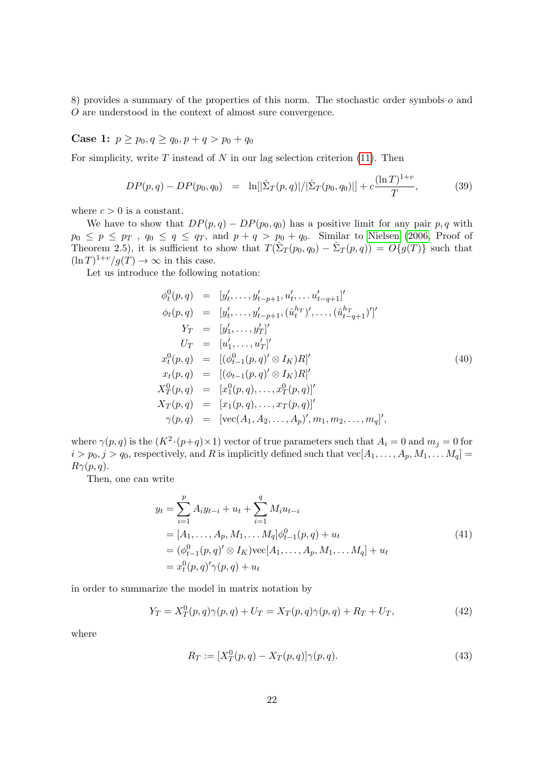8) provides a summary of the properties of this norm. The stochastic order symbols o and O are understood in the context of almost sure convergence.

Case 1:  $p \geq p_0, q \geq q_0, p + q > p_0 + q_0$ 

For simplicity, write  $T$  instead of  $N$  in our lag selection criterion [\(11\)](#page-5-1). Then

$$
DP(p,q) - DP(p_0, q_0) = \ln[|\hat{\Sigma}_T(p,q)|/|\hat{\Sigma}_T(p_0, q_0)|] + c \frac{(\ln T)^{1+v}}{T}, \tag{39}
$$

where  $c > 0$  is a constant.

We have to show that  $DP(p, q) - DP(p_0, q_0)$  has a positive limit for any pair p, q with  $p_0 \leq p \leq p_T$ ,  $q_0 \leq q \leq q_T$ , and  $p + q > p_0 + q_0$ . Similar to [Nielsen \(2006,](#page-17-15) Proof of Theorem 2.5), it is sufficient to show that  $T(\hat{\Sigma}_T(p_0, q_0) - \hat{\Sigma}_T(p,q)) = O\{g(T)\}\$  such that  $(\ln T)^{1+v}/g(T) \to \infty$  in this case.

Let us introduce the following notation:

$$
\begin{aligned}\n\phi_t^0(p,q) &= [y'_t, \dots, y'_{t-p+1}, u'_t, \dots, u'_{t-q+1}]' \\
\phi_t(p,q) &= [y'_t, \dots, y'_{t-p+1}, (\hat{u}_t^{h_T})', \dots, (\hat{u}_{t-q+1}^{h_T})']' \\
Y_T &= [y'_1, \dots, y'_T]' \\
U_T &= [u'_1, \dots, u'_T]' \\
x_t^0(p,q) &= [(\phi_{t-1}^0(p,q) \otimes I_K)R]' \\
x_t(p,q) &= [(\phi_{t-1}(p,q)' \otimes I_K)R]' \\
X_T^0(p,q) &= [x_1^0(p,q), \dots, x_T^0(p,q)]' \\
X_T(p,q) &= [x_1(p,q), \dots, x_T(p,q)]' \\
\gamma(p,q) &= [\text{vec}(A_1, A_2, \dots, A_p)', m_1, m_2, \dots, m_q]',\n\end{aligned} \tag{40}
$$

where  $\gamma(p,q)$  is the  $(K^2 \cdot (p+q) \times 1)$  vector of true parameters such that  $A_i = 0$  and  $m_j = 0$  for  $i > p_0, j > q_0$ , respectively, and R is implicitly defined such that  $vec[A_1, \ldots, A_p, M_1, \ldots, M_q] =$  $R\gamma(p,q).$ 

Then, one can write

$$
y_t = \sum_{i=1}^p A_i y_{t-i} + u_t + \sum_{i=1}^q M_i u_{t-i}
$$
  
=  $[A_1, ..., A_p, M_1, ..., M_q] \phi_{t-1}^0(p, q) + u_t$   
=  $(\phi_{t-1}^0(p, q)' \otimes I_K) \text{vec}[A_1, ..., A_p, M_1, ..., M_q] + u_t$   
=  $x_t^0(p, q)' \gamma(p, q) + u_t$  (41)

in order to summarize the model in matrix notation by

<span id="page-21-0"></span>
$$
Y_T = X_T^0(p, q)\gamma(p, q) + U_T = X_T(p, q)\gamma(p, q) + R_T + U_T,
$$
\n(42)

where

$$
R_T := [X_T^0(p, q) - X_T(p, q)]\gamma(p, q).
$$
\n(43)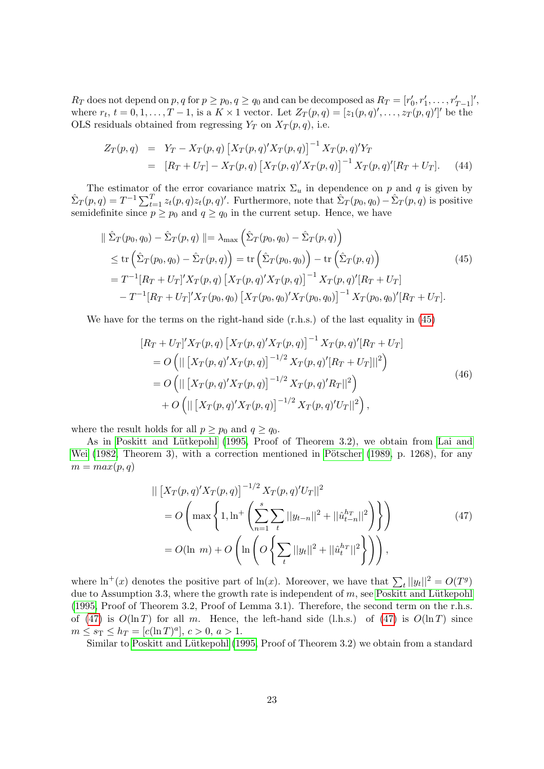$R_T$  does not depend on  $p, q$  for  $p \geq p_0, q \geq q_0$  and can be decomposed as  $R_T = [r'_0, r'_1, \ldots, r'_{T-1}]'$ , where  $r_t$ ,  $t = 0, 1, \ldots, T-1$ , is a  $K \times 1$  vector. Let  $Z_T(p,q) = [z_1(p,q)', \ldots, z_T(p,q)']'$  be the OLS residuals obtained from regressing  $Y_T$  on  $X_T(p,q)$ , i.e.

$$
Z_T(p,q) = Y_T - X_T(p,q) \left[ X_T(p,q)' X_T(p,q) \right]^{-1} X_T(p,q)' Y_T
$$
  
= 
$$
\left[ R_T + U_T \right] - X_T(p,q) \left[ X_T(p,q)' X_T(p,q) \right]^{-1} X_T(p,q)' \left[ R_T + U_T \right]. \tag{44}
$$

The estimator of the error covariance matrix  $\Sigma_u$  in dependence on p and q is given by  $\hat{\Sigma}_T(p,q) = T^{-1} \sum_{t=1}^T z_t(p,q) z_t(p,q)'$ . Furthermore, note that  $\hat{\Sigma}_T(p_0,q_0) - \hat{\Sigma}_T(p,q)$  is positive semidefinite since  $p \geq p_0$  and  $q \geq q_0$  in the current setup. Hence, we have

$$
\|\hat{\Sigma}_T(p_0, q_0) - \hat{\Sigma}_T(p, q)\| = \lambda_{\max} \left(\hat{\Sigma}_T(p_0, q_0) - \hat{\Sigma}_T(p, q)\right)
$$
  
\n
$$
\leq \text{tr}\left(\hat{\Sigma}_T(p_0, q_0) - \hat{\Sigma}_T(p, q)\right) = \text{tr}\left(\hat{\Sigma}_T(p_0, q_0)\right) - \text{tr}\left(\hat{\Sigma}_T(p, q)\right)
$$
  
\n
$$
= T^{-1}[R_T + U_T]'X_T(p, q) [X_T(p, q)'X_T(p, q)]^{-1} X_T(p, q)'[R_T + U_T]
$$
  
\n
$$
-T^{-1}[R_T + U_T]'X_T(p_0, q_0) [X_T(p_0, q_0)'X_T(p_0, q_0)]^{-1} X_T(p_0, q_0)'[R_T + U_T].
$$
\n(45)

<span id="page-22-2"></span>We have for the terms on the right-hand side (r.h.s.) of the last equality in [\(45\)](#page-22-0)

<span id="page-22-0"></span>
$$
[R_T + U_T]'X_T(p,q) [X_T(p,q)'X_T(p,q)]^{-1} X_T(p,q)'[R_T + U_T]
$$
  
=  $O \left( || [X_T(p,q)'X_T(p,q)]^{-1/2} X_T(p,q)'[R_T + U_T]||^2 \right)$   
=  $O \left( || [X_T(p,q)'X_T(p,q)]^{-1/2} X_T(p,q)'R_T||^2 \right)$   
+  $O \left( || [X_T(p,q)'X_T(p,q)]^{-1/2} X_T(p,q)'U_T||^2 \right),$  (46)

where the result holds for all  $p \geq p_0$  and  $q \geq q_0$ .

As in Poskitt and Lütkepohl (1995, Proof of Theorem 3.2), we obtain from [Lai and](#page-17-16) [Wei \(1982,](#page-17-16) Theorem 3), with a correction mentioned in Pötscher (1989, p. 1268), for any  $m = max(p, q)$ 

<span id="page-22-1"></span>
$$
\| \left[ X_T(p,q)' X_T(p,q) \right]^{-1/2} X_T(p,q)' U_T \|^2
$$
  
=  $O \left( \max \left\{ 1, \ln \left\{ \sum_{n=1}^s \sum_t ||y_{t-n}||^2 + ||\hat{u}_{t-n}^{h_T}||^2 \right\} \right\} \right)$   
=  $O(\ln m) + O \left( \ln \left( O \left\{ \sum_t ||y_t||^2 + ||\hat{u}_t^{h_T}||^2 \right\} \right) \right),$  (47)

where  $\ln^+(x)$  denotes the positive part of  $\ln(x)$ . Moreover, we have that  $\sum_t ||y_t||^2 = O(T^g)$ due to Assumption 3.3, where the growth rate is independent of  $m$ , see Poskitt and Lütkepohl [\(1995,](#page-18-1) Proof of Theorem 3.2, Proof of Lemma 3.1). Therefore, the second term on the r.h.s. of [\(47\)](#page-22-1) is  $O(\ln T)$  for all m. Hence, the left-hand side (l.h.s.) of (47) is  $O(\ln T)$  since  $m \leq s_{\text{T}} \leq h_T = [c(\ln T)^a], c > 0, a > 1.$ 

Similar to Poskitt and Lütkepohl (1995, Proof of Theorem 3.2) we obtain from a standard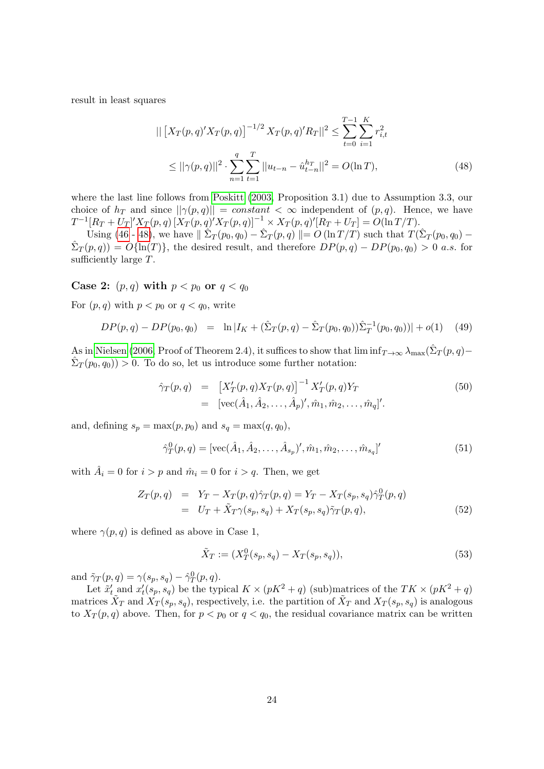result in least squares

<span id="page-23-0"></span>
$$
\| [X_T(p,q)'X_T(p,q)]^{-1/2} X_T(p,q)'R_T \|^2 \le \sum_{t=0}^{T-1} \sum_{i=1}^K r_{i,t}^2
$$
  

$$
\le ||\gamma(p,q)||^2 \cdot \sum_{n=1}^q \sum_{t=1}^T ||u_{t-n} - \hat{u}_{t-n}^{h_T}||^2 = O(\ln T),
$$
 (48)

where the last line follows from [Poskitt \(2003,](#page-18-2) Proposition 3.1) due to Assumption 3.3, our choice of  $h_T$  and since  $||\gamma(p,q)|| = constant < \infty$  independent of  $(p,q)$ . Hence, we have  $T^{-1}[R_T+U_T]'X_T(p,q)\,[X_T(p,q)'X_T(p,q)]^{-1}\times X_T(p,q)'[R_T+U_T]=O(\ln T/T).$ 

Using [\(46](#page-22-2)- [48\)](#page-23-0), we have  $\|\tilde{\Sigma}_T(p_0,q_0) - \tilde{\Sigma}_T(p,q)\| = O(\ln T/T)$  such that  $T(\tilde{\Sigma}_T(p_0,q_0) \hat{\Sigma}_T(p,q) = O\{\ln(T)\}\,$ , the desired result, and therefore  $DP(p,q) - DP(p_0,q_0) > 0$  a.s. for sufficiently large T.

Case 2:  $(p, q)$  with  $p < p_0$  or  $q < q_0$ 

For  $(p, q)$  with  $p < p_0$  or  $q < q_0$ , write

$$
DP(p,q) - DP(p_0, q_0) = \ln |I_K + (\hat{\Sigma}_T(p,q) - \hat{\Sigma}_T(p_0, q_0))\hat{\Sigma}_T^{-1}(p_0, q_0)| + o(1) \quad (49)
$$

As in [Nielsen \(2006,](#page-17-15) Proof of Theorem 2.4), it suffices to show that  $\liminf_{T\to\infty}\lambda_{\max}(\hat{\Sigma}_T(p,q) \hat{\Sigma}_T(p_0, q_0) > 0$ . To do so, let us introduce some further notation:

<span id="page-23-1"></span>
$$
\hat{\gamma}_T(p,q) = \left[ X'_T(p,q) X_T(p,q) \right]^{-1} X'_T(p,q) Y_T \n= \left[ \text{vec}(\hat{A}_1, \hat{A}_2, \dots, \hat{A}_p)', \hat{m}_1, \hat{m}_2, \dots, \hat{m}_q \right]'.
$$
\n(50)

and, defining  $s_p = \max(p, p_0)$  and  $s_q = \max(q, q_0)$ ,

<span id="page-23-2"></span>
$$
\hat{\gamma}_T^0(p,q) = [\text{vec}(\hat{A}_1, \hat{A}_2, \dots, \hat{A}_{s_p})', \hat{m}_1, \hat{m}_2, \dots, \hat{m}_{s_q}]'
$$
(51)

with  $\hat{A}_i = 0$  for  $i > p$  and  $\hat{m}_i = 0$  for  $i > q$ . Then, we get

$$
Z_T(p,q) = Y_T - X_T(p,q)\hat{\gamma}_T(p,q) = Y_T - X_T(s_p, s_q)\hat{\gamma}_T^0(p,q)
$$
  
= 
$$
U_T + \tilde{X}_T\gamma(s_p, s_q) + X_T(s_p, s_q)\tilde{\gamma}_T(p,q),
$$
 (52)

where  $\gamma(p,q)$  is defined as above in Case 1,

<span id="page-23-3"></span>
$$
\tilde{X}_T := (X_T^0(s_p, s_q) - X_T(s_p, s_q)),\tag{53}
$$

and  $\tilde{\gamma}_T(p,q) = \gamma(s_p, s_q) - \hat{\gamma}_T^0(p,q)$ .

Let  $\tilde{x}'_t$  and  $x'_t(s_p, s_q)$  be the typical  $K \times (pK^2 + q)$  (sub)matrices of the  $TK \times (pK^2 + q)$ matrices  $\tilde{X}_T$  and  $\tilde{X}_T(s_p, s_q)$ , respectively, i.e. the partition of  $\tilde{X}_T$  and  $X_T(s_p, s_q)$  is analogous to  $X_T(p,q)$  above. Then, for  $p < p_0$  or  $q < q_0$ , the residual covariance matrix can be written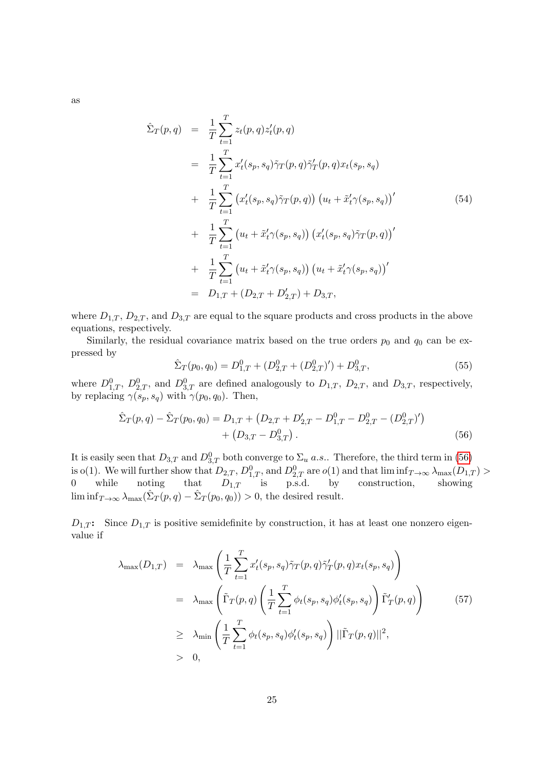$$
\hat{\Sigma}_{T}(p,q) = \frac{1}{T} \sum_{t=1}^{T} z_{t}(p,q) z_{t}'(p,q) \n= \frac{1}{T} \sum_{t=1}^{T} x_{t}'(s_{p}, s_{q}) \tilde{\gamma}_{T}(p,q) \tilde{\gamma}_{T}'(p,q) x_{t}(s_{p}, s_{q}) \n+ \frac{1}{T} \sum_{t=1}^{T} (x_{t}'(s_{p}, s_{q}) \tilde{\gamma}_{T}(p,q)) (u_{t} + \tilde{x}_{t}' \gamma(s_{p}, s_{q}))' \n+ \frac{1}{T} \sum_{t=1}^{T} (u_{t} + \tilde{x}_{t}' \gamma(s_{p}, s_{q})) (x_{t}'(s_{p}, s_{q}) \tilde{\gamma}_{T}(p,q))' \n+ \frac{1}{T} \sum_{t=1}^{T} (u_{t} + \tilde{x}_{t}' \gamma(s_{p}, s_{q})) (u_{t} + \tilde{x}_{t}' \gamma(s_{p}, s_{q}))' \n= D_{1,T} + (D_{2,T} + D'_{2,T}) + D_{3,T},
$$
\n(11)

where  $D_{1,T}$ ,  $D_{2,T}$ , and  $D_{3,T}$  are equal to the square products and cross products in the above equations, respectively.

Similarly, the residual covariance matrix based on the true orders  $p_0$  and  $q_0$  can be expressed by

<span id="page-24-0"></span>
$$
\hat{\Sigma}_T(p_0, q_0) = D_{1,T}^0 + (D_{2,T}^0 + (D_{2,T}^0)') + D_{3,T}^0,
$$
\n(55)

where  $D_{1,T}^0$ ,  $D_{2,T}^0$ , and  $D_{3,T}^0$  are defined analogously to  $D_{1,T}$ ,  $D_{2,T}$ , and  $D_{3,T}$ , respectively, by replacing  $\gamma(s_p, s_q)$  with  $\gamma(p_0, q_0)$ . Then,

$$
\hat{\Sigma}_T(p,q) - \hat{\Sigma}_T(p_0,q_0) = D_{1,T} + (D_{2,T} + D'_{2,T} - D^0_{1,T} - D^0_{2,T} - (D^0_{2,T})') \n+ (D_{3,T} - D^0_{3,T}).
$$
\n(56)

It is easily seen that  $D_{3,T}$  and  $D_{3,T}^0$  both converge to  $\Sigma_u$  a.s.. Therefore, the third term in [\(56\)](#page-24-0) is o(1). We will further show that  $D_{2,T}$ ,  $D_{1,T}^0$ , and  $D_{2,T}^0$  are  $o(1)$  and that  $\liminf_{T\to\infty}\lambda_{\max}(D_{1,T})$ 0 while noting that  $D_{1,T}$  is p.s.d. by construction, showing  $\liminf_{T\to\infty} \lambda_{\max}(\hat{\Sigma}_T(p,q) - \hat{\Sigma}_T(p_0,q_0)) > 0$ , the desired result.

 $D_{1,T}$ : Since  $D_{1,T}$  is positive semidefinite by construction, it has at least one nonzero eigenvalue if

$$
\lambda_{\max}(D_{1,T}) = \lambda_{\max} \left( \frac{1}{T} \sum_{t=1}^{T} x'_t(s_p, s_q) \tilde{\gamma}_T(p, q) \tilde{\gamma}'_T(p, q) x_t(s_p, s_q) \right)
$$
  
\n
$$
= \lambda_{\max} \left( \tilde{\Gamma}_T(p, q) \left( \frac{1}{T} \sum_{t=1}^{T} \phi_t(s_p, s_q) \phi'_t(s_p, s_q) \right) \tilde{\Gamma}'_T(p, q) \right)
$$
  
\n
$$
\geq \lambda_{\min} \left( \frac{1}{T} \sum_{t=1}^{T} \phi_t(s_p, s_q) \phi'_t(s_p, s_q) \right) ||\tilde{\Gamma}_T(p, q)||^2,
$$
  
\n
$$
> 0,
$$
 (57)

as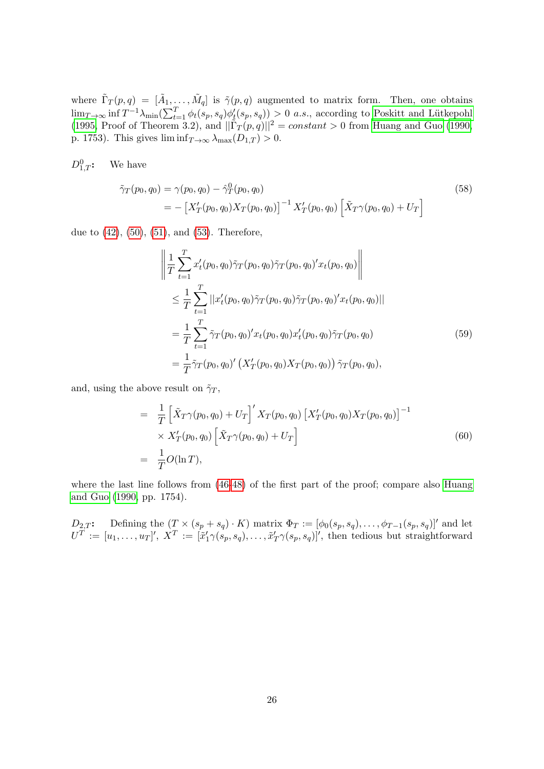where  $\tilde{\Gamma}_T(p,q) = [\tilde{A}_1,\ldots,\tilde{M}_q]$  is  $\tilde{\gamma}(p,q)$  augmented to matrix form. Then, one obtains  $\lim_{T\to\infty} \inf T^{-1}\lambda_{\min}(\sum_{t=1}^T \phi_t(s_p, s_q) \phi'_t(s_p, s_q)) > 0$  *a.s.*, according to Poskitt and Lütkepohl [\(1995,](#page-18-1) Proof of Theorem 3.2), and  $\|\tilde{\Gamma}_T(p,q)\|^2 = constant > 0$  from [Huang and Guo \(1990,](#page-17-5) p. 1753). This gives  $\liminf_{T\to\infty} \lambda_{\max}(D_{1,T}) > 0$ .

 $D_1^0_T$ : We have

$$
\tilde{\gamma}_T(p_0, q_0) = \gamma(p_0, q_0) - \hat{\gamma}_T^0(p_0, q_0)
$$
\n
$$
= -\left[X_T'(p_0, q_0)X_T(p_0, q_0)\right]^{-1} X_T'(p_0, q_0) \left[\tilde{X}_T\gamma(p_0, q_0) + U_T\right]
$$
\n(58)

due to [\(42\)](#page-21-0), [\(50\)](#page-23-1), [\(51\)](#page-23-2), and [\(53\)](#page-23-3). Therefore,

$$
\left\| \frac{1}{T} \sum_{t=1}^{T} x_t'(p_0, q_0) \tilde{\gamma}_T(p_0, q_0) \tilde{\gamma}_T(p_0, q_0)' x_t(p_0, q_0) \right\|
$$
  
\n
$$
\leq \frac{1}{T} \sum_{t=1}^{T} ||x_t'(p_0, q_0) \tilde{\gamma}_T(p_0, q_0) \tilde{\gamma}_T(p_0, q_0)' x_t(p_0, q_0) ||
$$
  
\n
$$
= \frac{1}{T} \sum_{t=1}^{T} \tilde{\gamma}_T(p_0, q_0)' x_t(p_0, q_0) x_t'(p_0, q_0) \tilde{\gamma}_T(p_0, q_0)
$$
  
\n
$$
= \frac{1}{T} \tilde{\gamma}_T(p_0, q_0)' (X_T'(p_0, q_0) X_T(p_0, q_0)) \tilde{\gamma}_T(p_0, q_0),
$$
\n(59)

and, using the above result on  $\tilde{\gamma}_T$ ,

$$
= \frac{1}{T} \left[ \tilde{X}_T \gamma(p_0, q_0) + U_T \right]' X_T(p_0, q_0) \left[ X'_T(p_0, q_0) X_T(p_0, q_0) \right]^{-1} \times X'_T(p_0, q_0) \left[ \tilde{X}_T \gamma(p_0, q_0) + U_T \right] = \frac{1}{T} O(\ln T),
$$
\n(60)

where the last line follows from  $(46-48)$  $(46-48)$  of the first part of the proof; compare also [Huang](#page-17-5) [and Guo \(1990,](#page-17-5) pp. 1754).

 $D_{2,T}$ : Defining the  $(T \times (s_p + s_q) \cdot K)$  matrix  $\Phi_T := [\phi_0(s_p, s_q), \dots, \phi_{T-1}(s_p, s_q)]'$  and let  $U^T := [u_1, \ldots, u_T]'$ ,  $X^T := [\tilde{x}'_1 \gamma(s_p, s_q), \ldots, \tilde{x}'_T \gamma(s_p, s_q)]'$ , then tedious but straightforward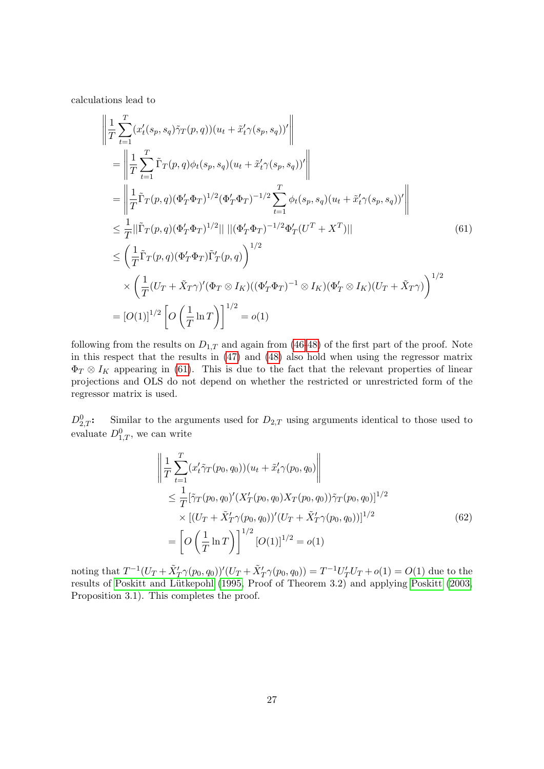calculations lead to

<span id="page-26-0"></span>
$$
\left\| \frac{1}{T} \sum_{t=1}^{T} (x_t'(s_p, s_q) \tilde{\gamma}_T(p, q))(u_t + \tilde{x}_t' \gamma(s_p, s_q))'\right\| \n= \left\| \frac{1}{T} \sum_{t=1}^{T} \tilde{\Gamma}_T(p, q) \phi_t(s_p, s_q)(u_t + \tilde{x}_t' \gamma(s_p, s_q))'\right\| \n= \left\| \frac{1}{T} \tilde{\Gamma}_T(p, q) (\Phi_T' \Phi_T)^{1/2} (\Phi_T' \Phi_T)^{-1/2} \sum_{t=1}^{T} \phi_t(s_p, s_q)(u_t + \tilde{x}_t' \gamma(s_p, s_q))'\right\| \n\leq \frac{1}{T} ||\tilde{\Gamma}_T(p, q) (\Phi_T' \Phi_T)^{1/2}|| ||(\Phi_T' \Phi_T)^{-1/2} \Phi_T' (U^T + X^T)|| \n\leq \left(\frac{1}{T} \tilde{\Gamma}_T(p, q) (\Phi_T' \Phi_T) \tilde{\Gamma}_T'(p, q)\right)^{1/2} \n\times \left(\frac{1}{T} (U_T + \tilde{X}_T \gamma)' (\Phi_T \otimes I_K)((\Phi_T' \Phi_T)^{-1} \otimes I_K) (\Phi_T' \otimes I_K)(U_T + \tilde{X}_T \gamma)\right)^{1/2} \n= [O(1)]^{1/2} \left[ O\left(\frac{1}{T} \ln T\right) \right]^{1/2} = o(1)
$$
\n(1)

following from the results on  $D_{1,T}$  and again from [\(46-](#page-22-2)[48\)](#page-23-0) of the first part of the proof. Note in this respect that the results in [\(47\)](#page-22-1) and [\(48\)](#page-23-0) also hold when using the regressor matrix  $\Phi_T \otimes I_K$  appearing in [\(61\)](#page-26-0). This is due to the fact that the relevant properties of linear projections and OLS do not depend on whether the restricted or unrestricted form of the regressor matrix is used.

 $D_{2,T}^0$ : Similar to the arguments used for  $D_{2,T}$  using arguments identical to those used to evaluate  $D_{1,T}^0$ , we can write

$$
\left\| \frac{1}{T} \sum_{t=1}^{T} (x'_t \tilde{\gamma}_T(p_0, q_0)) (u_t + \tilde{x}'_t \gamma(p_0, q_0)) \right\|
$$
  
\n
$$
\leq \frac{1}{T} [\tilde{\gamma}_T(p_0, q_0)' (X'_T(p_0, q_0) X_T(p_0, q_0)) \tilde{\gamma}_T(p_0, q_0)]^{1/2}
$$
  
\n
$$
\times [(U_T + \tilde{X}'_T \gamma(p_0, q_0))'(U_T + \tilde{X}'_T \gamma(p_0, q_0))]^{1/2}
$$
  
\n
$$
= \left[ O\left(\frac{1}{T} \ln T\right) \right]^{1/2} [O(1)]^{1/2} = o(1)
$$
\n(62)

noting that  $T^{-1}(U_T + \tilde{X}'_T \gamma(p_0, q_0))'(U_T + \tilde{X}'_T \gamma(p_0, q_0)) = T^{-1}U'_T U_T + o(1) = O(1)$  due to the results of Poskitt and Lütkepohl (1995, Proof of Theorem 3.2) and applying [Poskitt \(2003,](#page-18-2) Proposition 3.1). This completes the proof.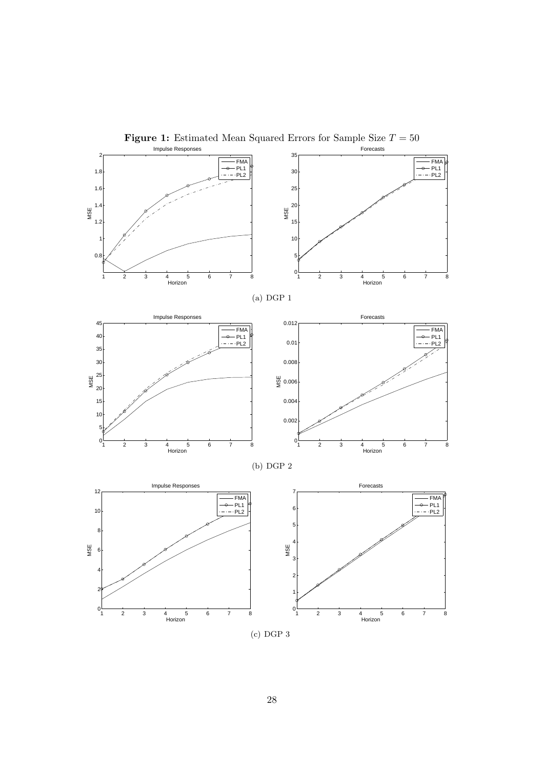<span id="page-27-0"></span>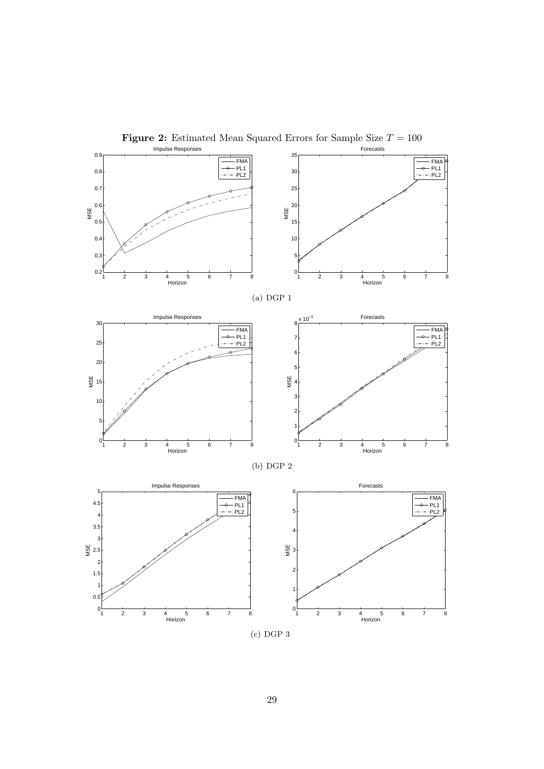<span id="page-28-0"></span>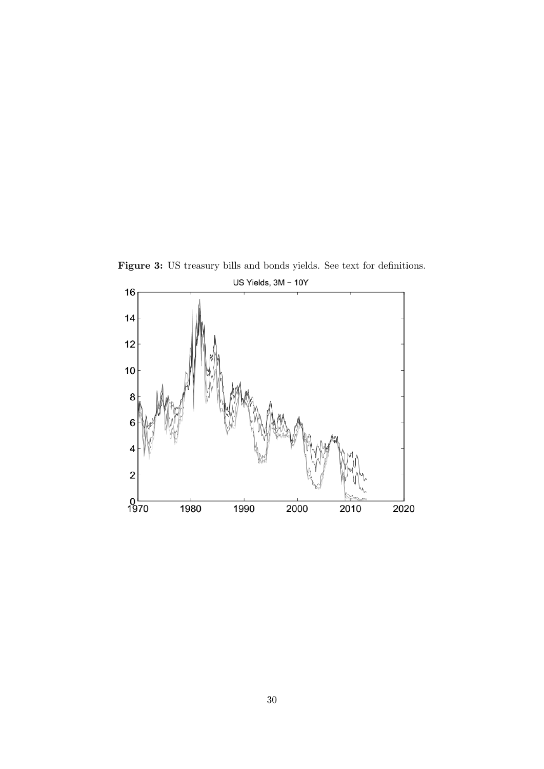<span id="page-29-0"></span>

Figure 3: US treasury bills and bonds yields. See text for definitions.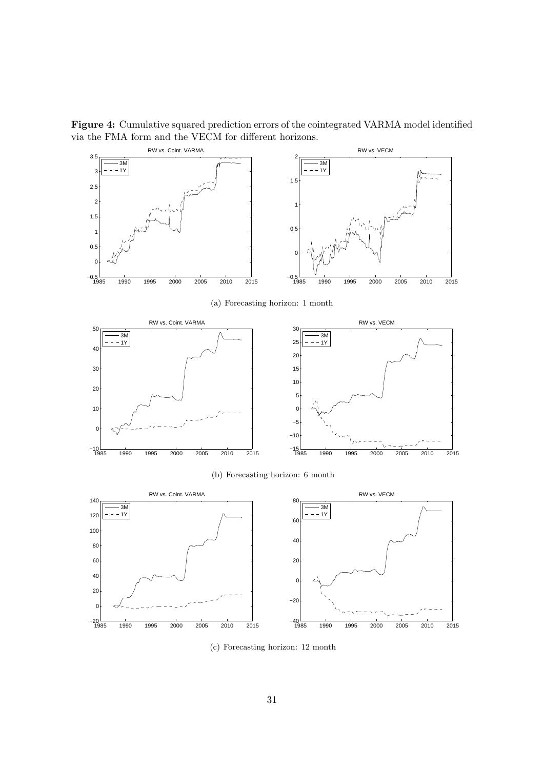Figure 4: Cumulative squared prediction errors of the cointegrated VARMA model identified via the FMA form and the VECM for different horizons.

<span id="page-30-0"></span>

(a) Forecasting horizon: 1 month



(b) Forecasting horizon: 6 month



(c) Forecasting horizon: 12 month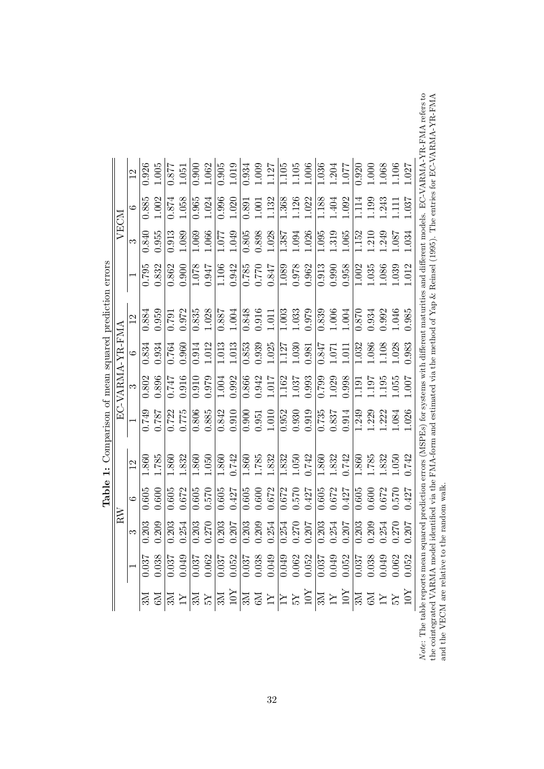| $_{\rm RN}$                                                                                                                                                                                                                                                                                                                         |                   |                                |  |  |                                                                                                                                                                                                                                                                                                            |                                 |                                     |                                                                                                                                                                                                                                                                                                                      |                |                                                                                                                                                                                                                                                                                                               |
|-------------------------------------------------------------------------------------------------------------------------------------------------------------------------------------------------------------------------------------------------------------------------------------------------------------------------------------|-------------------|--------------------------------|--|--|------------------------------------------------------------------------------------------------------------------------------------------------------------------------------------------------------------------------------------------------------------------------------------------------------------|---------------------------------|-------------------------------------|----------------------------------------------------------------------------------------------------------------------------------------------------------------------------------------------------------------------------------------------------------------------------------------------------------------------|----------------|---------------------------------------------------------------------------------------------------------------------------------------------------------------------------------------------------------------------------------------------------------------------------------------------------------------|
| $\begin{tabular}{r rrrr} \hline\hline \overline{EC-VARIMA-Y} \\\hline\hline 1 & 3 \\ \hline 0.787 & 0.896 & 0 \\ 0.787 & 0.896 & 0.747 \\ \hline 0.775 & 0.916 & 0.747 \\ \hline 0.865 & 0.976 & 0.910 \\ \hline 0.885 & 0.979 & 0.910 & 0.992 \\ \hline 0.885 & 0.979 & 0.910 & 0.966 \\ \hline 0.900 & 0.866 & 0.910 & 0.94$<br>S |                   |                                |  |  | $\frac{1.7 \text{R-FMA}}{6}$<br>$\frac{1.334}{0.834}$<br>$\frac{0.934}{0.834}$<br>$\frac{0.934}{0.764}$<br>$\frac{0.960}{0.764}$<br>$\frac{0.960}{0.1013}$<br>$\frac{0.960}{0.853}$<br>$\frac{0.98}{0.853}$<br>$\frac{1.013}{1.127}$<br>$\frac{1.013}{1.127}$<br>$\frac{1.03}{1.032}$<br>$\frac{0.98}{0.8$ | 12                              |                                     | $\begin{array}{r rrrrrr} \hline \text{VECM} & 6 \\ \hline 3 & 0.840 & 0.8 \\ 0.955 & 1.0 & 0.8 \\ 1.089 & 1.0 & 1.069 \\ \hline 1.069 & 1 & 1.049 \\ 1.069 & 0 & 1.049 \\ 0.805 & 0 & 1.038 \\ 0.898 & 1 & 1.094 \\ \hline 1.387 & 1.094 & 0 & 1.152 \\ \hline 3 & 1.095 & 1.152 & 0 & 0.87 \\ \hline 4 & 1.152 & 1$ | $\circ$        |                                                                                                                                                                                                                                                                                                               |
| $\frac{6}{1.605}$                                                                                                                                                                                                                                                                                                                   |                   |                                |  |  |                                                                                                                                                                                                                                                                                                            |                                 |                                     |                                                                                                                                                                                                                                                                                                                      | 1.885<br>1.002 |                                                                                                                                                                                                                                                                                                               |
|                                                                                                                                                                                                                                                                                                                                     |                   |                                |  |  |                                                                                                                                                                                                                                                                                                            | 0.884                           |                                     |                                                                                                                                                                                                                                                                                                                      |                |                                                                                                                                                                                                                                                                                                               |
|                                                                                                                                                                                                                                                                                                                                     |                   |                                |  |  |                                                                                                                                                                                                                                                                                                            |                                 |                                     |                                                                                                                                                                                                                                                                                                                      |                |                                                                                                                                                                                                                                                                                                               |
|                                                                                                                                                                                                                                                                                                                                     |                   |                                |  |  |                                                                                                                                                                                                                                                                                                            |                                 |                                     |                                                                                                                                                                                                                                                                                                                      |                |                                                                                                                                                                                                                                                                                                               |
|                                                                                                                                                                                                                                                                                                                                     |                   |                                |  |  |                                                                                                                                                                                                                                                                                                            |                                 |                                     |                                                                                                                                                                                                                                                                                                                      |                |                                                                                                                                                                                                                                                                                                               |
|                                                                                                                                                                                                                                                                                                                                     |                   |                                |  |  |                                                                                                                                                                                                                                                                                                            |                                 |                                     |                                                                                                                                                                                                                                                                                                                      |                |                                                                                                                                                                                                                                                                                                               |
|                                                                                                                                                                                                                                                                                                                                     |                   |                                |  |  |                                                                                                                                                                                                                                                                                                            |                                 |                                     |                                                                                                                                                                                                                                                                                                                      |                |                                                                                                                                                                                                                                                                                                               |
|                                                                                                                                                                                                                                                                                                                                     |                   |                                |  |  |                                                                                                                                                                                                                                                                                                            |                                 |                                     |                                                                                                                                                                                                                                                                                                                      |                |                                                                                                                                                                                                                                                                                                               |
|                                                                                                                                                                                                                                                                                                                                     |                   |                                |  |  |                                                                                                                                                                                                                                                                                                            |                                 |                                     |                                                                                                                                                                                                                                                                                                                      |                |                                                                                                                                                                                                                                                                                                               |
|                                                                                                                                                                                                                                                                                                                                     |                   |                                |  |  |                                                                                                                                                                                                                                                                                                            |                                 |                                     |                                                                                                                                                                                                                                                                                                                      |                |                                                                                                                                                                                                                                                                                                               |
|                                                                                                                                                                                                                                                                                                                                     |                   |                                |  |  |                                                                                                                                                                                                                                                                                                            |                                 |                                     |                                                                                                                                                                                                                                                                                                                      |                |                                                                                                                                                                                                                                                                                                               |
|                                                                                                                                                                                                                                                                                                                                     |                   |                                |  |  |                                                                                                                                                                                                                                                                                                            |                                 |                                     |                                                                                                                                                                                                                                                                                                                      |                |                                                                                                                                                                                                                                                                                                               |
|                                                                                                                                                                                                                                                                                                                                     |                   |                                |  |  |                                                                                                                                                                                                                                                                                                            |                                 |                                     |                                                                                                                                                                                                                                                                                                                      |                |                                                                                                                                                                                                                                                                                                               |
| $\begin{array}{l} 1.785 \\ 1.860 \\ 1.832 \\ 1.650 \\ 1.600 \\ 1.742 \\ 1.860 \\ 1.785 \\ 1.832 \\ 1.832 \\ 1.832 \\ 1.832 \\ 1.832 \\ 1.832 \\ 1.832 \\ 1.832 \\ 1.833 \\ 1.832 \\ 1.833 \\ 1.832 \\ 1.833 \\ 1.832 \\ 1.833 \\ 1.832 \\ 1.833 \\ 1.832 \\ 1.833 \\ 1.832 \\ 1.833 \\ 1.833 \\ 1.$                                 |                   |                                |  |  |                                                                                                                                                                                                                                                                                                            |                                 |                                     |                                                                                                                                                                                                                                                                                                                      |                | $\begin{array}{r} 12 \\ 0.926 \\ 0.637 \\ 0.640 \\ 0.651 \\ 0.67 \\ 0.67 \\ 0.67 \\ 0.67 \\ 0.67 \\ 0.67 \\ 0.67 \\ 0.67 \\ 0.67 \\ 0.67 \\ 0.67 \\ 0.67 \\ 0.67 \\ 0.67 \\ 0.67 \\ 0.67 \\ 0.67 \\ 0.67 \\ 0.67 \\ 0.67 \\ 0.67 \\ 0.67 \\ 0.67 \\ 0.67 \\ 0.67 \\ 0.67 \\ 0.67 \\ 0.67 \\ 0.67 \\ 0.67 \\ $ |
|                                                                                                                                                                                                                                                                                                                                     |                   |                                |  |  |                                                                                                                                                                                                                                                                                                            |                                 |                                     |                                                                                                                                                                                                                                                                                                                      |                |                                                                                                                                                                                                                                                                                                               |
|                                                                                                                                                                                                                                                                                                                                     |                   |                                |  |  |                                                                                                                                                                                                                                                                                                            |                                 |                                     |                                                                                                                                                                                                                                                                                                                      |                |                                                                                                                                                                                                                                                                                                               |
|                                                                                                                                                                                                                                                                                                                                     |                   |                                |  |  |                                                                                                                                                                                                                                                                                                            |                                 |                                     |                                                                                                                                                                                                                                                                                                                      |                |                                                                                                                                                                                                                                                                                                               |
|                                                                                                                                                                                                                                                                                                                                     |                   |                                |  |  |                                                                                                                                                                                                                                                                                                            |                                 |                                     |                                                                                                                                                                                                                                                                                                                      |                |                                                                                                                                                                                                                                                                                                               |
|                                                                                                                                                                                                                                                                                                                                     |                   |                                |  |  |                                                                                                                                                                                                                                                                                                            |                                 |                                     |                                                                                                                                                                                                                                                                                                                      |                |                                                                                                                                                                                                                                                                                                               |
|                                                                                                                                                                                                                                                                                                                                     |                   |                                |  |  |                                                                                                                                                                                                                                                                                                            |                                 |                                     |                                                                                                                                                                                                                                                                                                                      |                |                                                                                                                                                                                                                                                                                                               |
|                                                                                                                                                                                                                                                                                                                                     |                   |                                |  |  |                                                                                                                                                                                                                                                                                                            |                                 |                                     |                                                                                                                                                                                                                                                                                                                      |                |                                                                                                                                                                                                                                                                                                               |
|                                                                                                                                                                                                                                                                                                                                     |                   |                                |  |  |                                                                                                                                                                                                                                                                                                            |                                 |                                     |                                                                                                                                                                                                                                                                                                                      |                |                                                                                                                                                                                                                                                                                                               |
| a maan<br>hla ranort                                                                                                                                                                                                                                                                                                                | anarad prodiction | $r_{\rm{core}}$ (MCPEe) for as |  |  |                                                                                                                                                                                                                                                                                                            | stame with different maturities | ac and different models FC-V4RMA-VF |                                                                                                                                                                                                                                                                                                                      |                |                                                                                                                                                                                                                                                                                                               |

**Table 1:** Comparison of mean squared prediction errors Table 1: Comparison of mean squared prediction errors <span id="page-31-0"></span>*Note:* The table reports mean squared prediction errors (MSPEs) for systems with different maturities and different models. EC-VARMA-YR-FMA refers to the cointegrated VARMA model identified via the FMA-form and estimated Note: The table reports mean squared prediction errors (MSPEs) for systems with different maturities and different models. EC-VARMA-YR-FMA refers to the cointegrated VARMA model identified via the FMA-form and estimated via the method of Yap & Reinsel (1995). The entries for EC-VARMA-YR-FMA and the VECM are relative to the random walk.